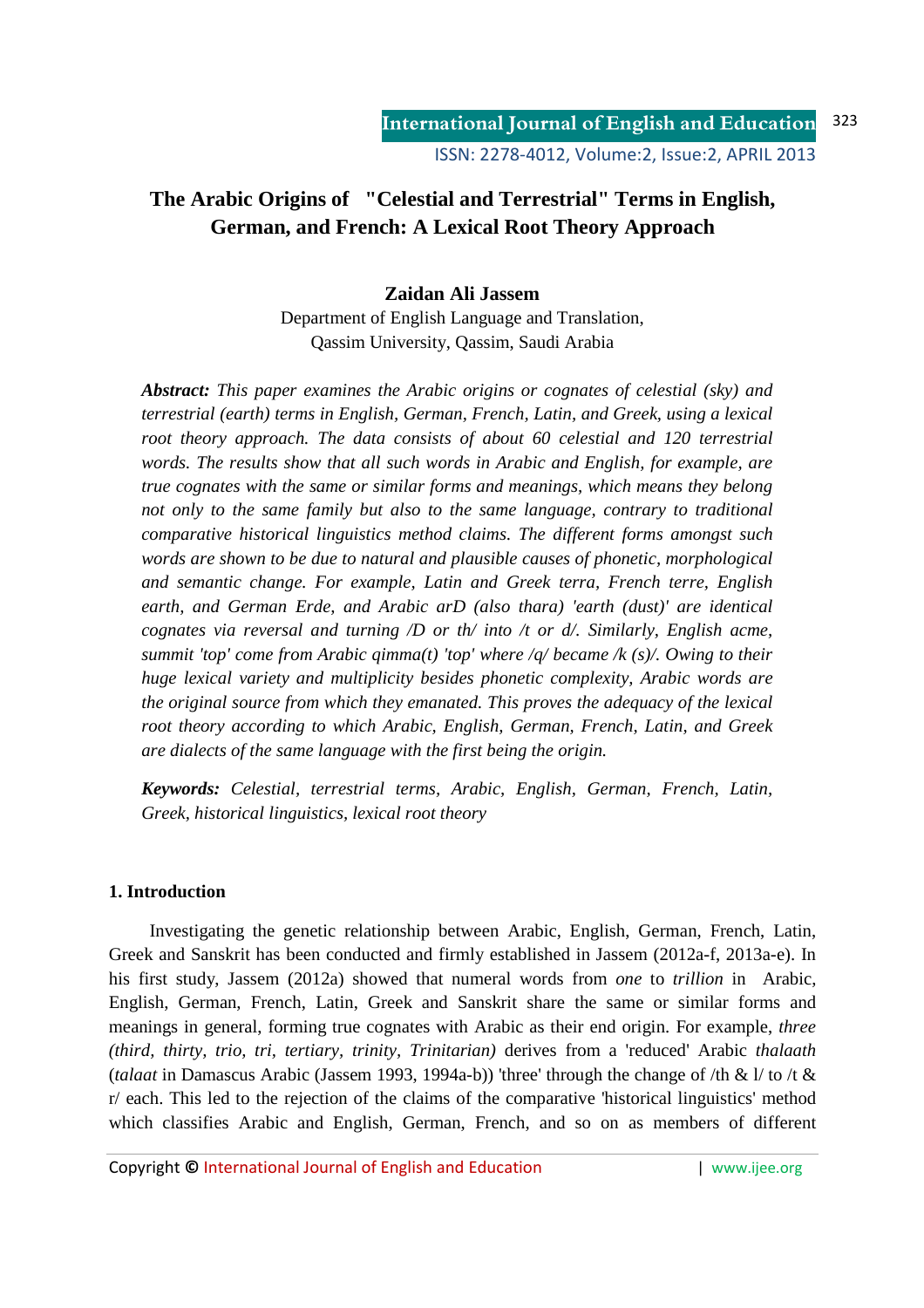# **The Arabic Origins of "Celestial and Terrestrial" Terms in English, German, and French: A Lexical Root Theory Approach**

# **Zaidan Ali Jassem**

Department of English Language and Translation, Qassim University, Qassim, Saudi Arabia

*Abstract: This paper examines the Arabic origins or cognates of celestial (sky) and terrestrial (earth) terms in English, German, French, Latin, and Greek, using a lexical*  root theory approach. The data consists of about 60 celestial and 120 terrestrial *words. The results show that all such words in Arabic and English, for example, are true cognates with the same or similar forms and meanings, which means they belong not only to the same family but also to the same language, contrary to traditional comparative historical linguistics method claims. The different forms amongst such words are shown to be due to natural and plausible causes of phonetic, morphological and semantic change. For example, Latin and Greek terra, French terre, English earth, and German Erde, and Arabic arD (also thara) 'earth (dust)' are identical cognates via reversal and turning /D or th/ into /t or d/. Similarly, English acme, summit 'top' come from Arabic qimma(t) 'top' where /q/ became /k (s)/. Owing to their huge lexical variety and multiplicity besides phonetic complexity, Arabic words are the original source from which they emanated. This proves the adequacy of the lexical root theory according to which Arabic, English, German, French, Latin, and Greek are dialects of the same language with the first being the origin.* 

*Keywords: Celestial, terrestrial terms, Arabic, English, German, French, Latin, Greek, historical linguistics, lexical root theory* 

### **1. Introduction**

Investigating the genetic relationship between Arabic, English, German, French, Latin, Greek and Sanskrit has been conducted and firmly established in Jassem (2012a-f, 2013a-e). In his first study, Jassem (2012a) showed that numeral words from *one* to *trillion* in Arabic, English, German, French, Latin, Greek and Sanskrit share the same or similar forms and meanings in general, forming true cognates with Arabic as their end origin. For example, *three (third, thirty, trio, tri, tertiary, trinity, Trinitarian)* derives from a 'reduced' Arabic *thalaath* (*talaat* in Damascus Arabic (Jassem 1993, 1994a-b)) 'three' through the change of /th & l/ to /t & r/ each. This led to the rejection of the claims of the comparative 'historical linguistics' method which classifies Arabic and English, German, French, and so on as members of different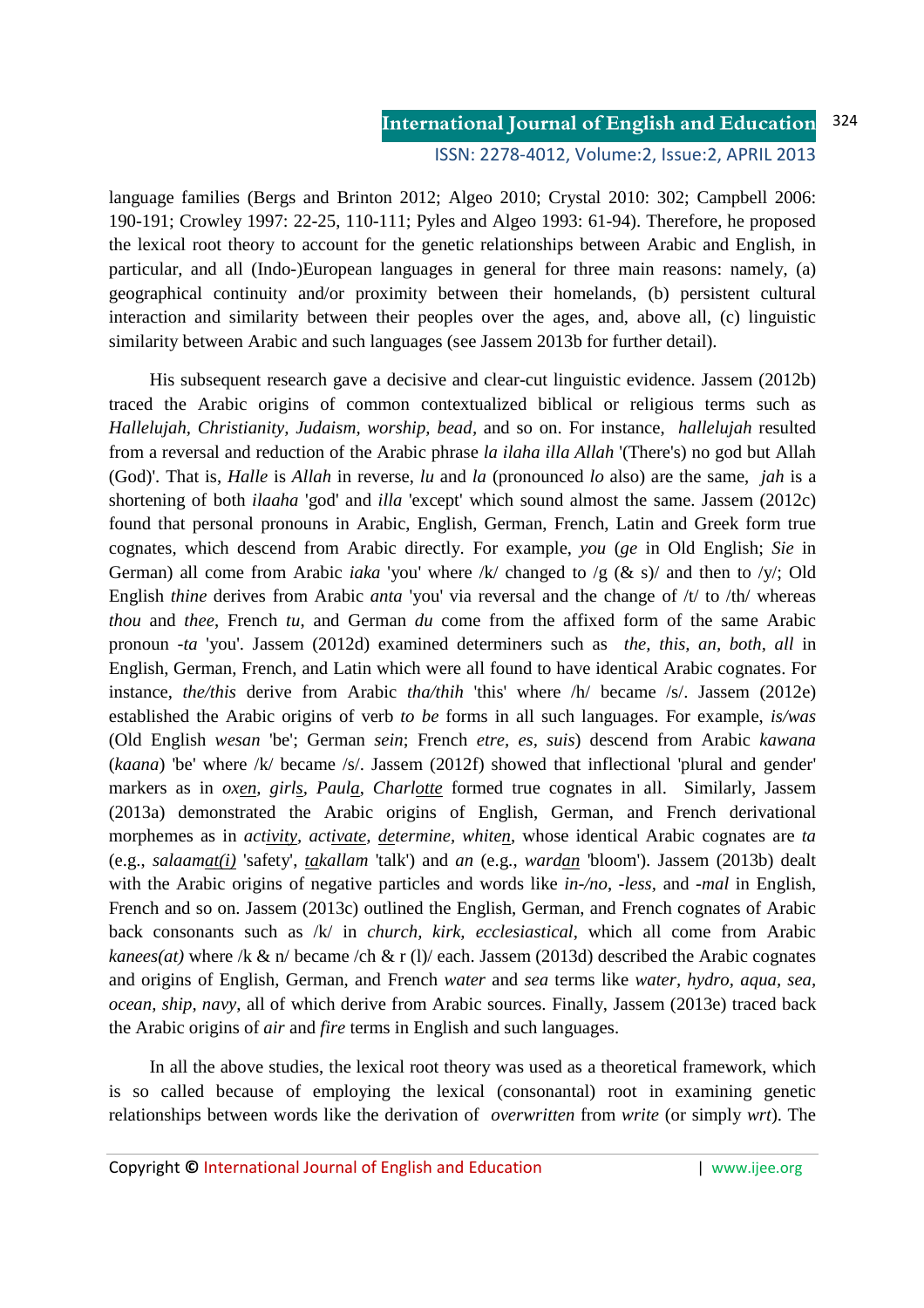#### **International Journal of English and Education** 324

### ISSN: 2278-4012, Volume:2, Issue:2, APRIL 2013

language families (Bergs and Brinton 2012; Algeo 2010; Crystal 2010: 302; Campbell 2006: 190-191; Crowley 1997: 22-25, 110-111; Pyles and Algeo 1993: 61-94). Therefore, he proposed the lexical root theory to account for the genetic relationships between Arabic and English, in particular, and all (Indo-)European languages in general for three main reasons: namely, (a) geographical continuity and/or proximity between their homelands, (b) persistent cultural interaction and similarity between their peoples over the ages, and, above all, (c) linguistic similarity between Arabic and such languages (see Jassem 2013b for further detail).

His subsequent research gave a decisive and clear-cut linguistic evidence. Jassem (2012b) traced the Arabic origins of common contextualized biblical or religious terms such as *Hallelujah, Christianity, Judaism, worship, bead,* and so on. For instance, *hallelujah* resulted from a reversal and reduction of the Arabic phrase *la ilaha illa Allah* '(There's) no god but Allah (God)'. That is, *Halle* is *Allah* in reverse, *lu* and *la* (pronounced *lo* also) are the same, *jah* is a shortening of both *ilaaha* 'god' and *illa* 'except' which sound almost the same. Jassem (2012c) found that personal pronouns in Arabic, English, German, French, Latin and Greek form true cognates, which descend from Arabic directly. For example, *you* (*ge* in Old English; *Sie* in German) all come from Arabic *iaka* 'you' where /k/ changed to /g (& s)/ and then to /y/; Old English *thine* derives from Arabic *anta* 'you' via reversal and the change of /t/ to /th/ whereas *thou* and *thee*, French *tu*, and German *du* come from the affixed form of the same Arabic pronoun *-ta* 'you'. Jassem (2012d) examined determiners such as *the, this, an, both, all* in English, German, French, and Latin which were all found to have identical Arabic cognates. For instance, *the/this* derive from Arabic *tha/thih* 'this' where /h/ became /s/. Jassem (2012e) established the Arabic origins of verb *to be* forms in all such languages. For example, *is/was* (Old English *wesan* 'be'; German *sein*; French *etre, es, suis*) descend from Arabic *kawana* (*kaana*) 'be' where /k/ became /s/. Jassem (2012f) showed that inflectional 'plural and gender' markers as in *oxen, girls, Paula*, *Charlotte* formed true cognates in all. Similarly, Jassem (2013a) demonstrated the Arabic origins of English, German, and French derivational morphemes as in *activity, activate, determine, whiten*, whose identical Arabic cognates are *ta* (e.g., *salaamat(i)* 'safety', *takallam* 'talk') and *an* (e.g., *wardan* 'bloom'). Jassem (2013b) dealt with the Arabic origins of negative particles and words like *in-/no*, *-less,* and *-mal* in English, French and so on. Jassem (2013c) outlined the English, German, and French cognates of Arabic back consonants such as /k/ in *church, kirk, ecclesiastical*, which all come from Arabic *kanees(at)* where /k & n/ became /ch & r (1)/ each. Jassem (2013d) described the Arabic cognates and origins of English, German, and French *water* and *sea* terms like *water, hydro, aqua, sea, ocean, ship, navy*, all of which derive from Arabic sources. Finally, Jassem (2013e) traced back the Arabic origins of *air* and *fire* terms in English and such languages.

In all the above studies, the lexical root theory was used as a theoretical framework, which is so called because of employing the lexical (consonantal) root in examining genetic relationships between words like the derivation of *overwritten* from *write* (or simply *wrt*). The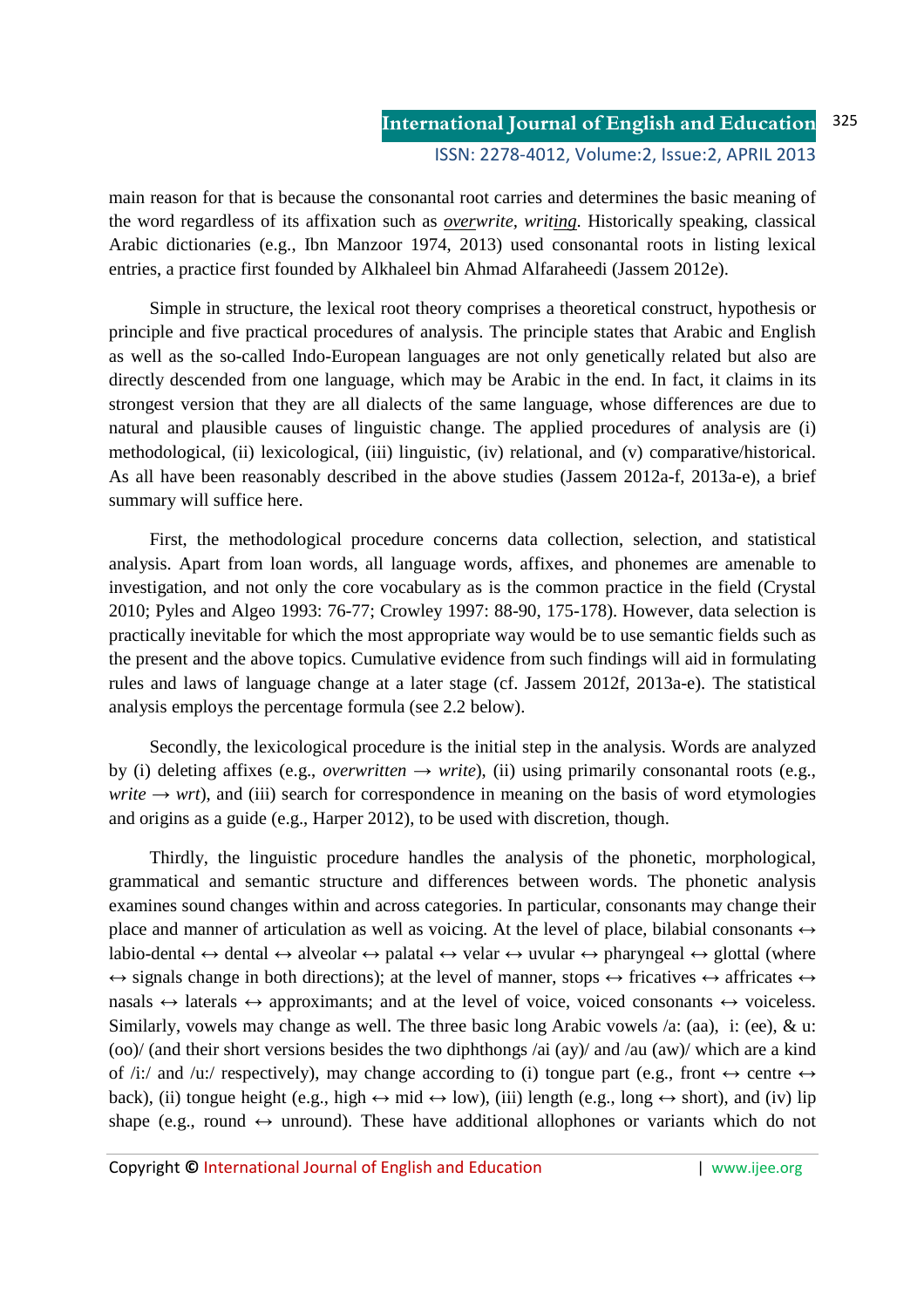main reason for that is because the consonantal root carries and determines the basic meaning of the word regardless of its affixation such as *overwrite, writing*. Historically speaking, classical Arabic dictionaries (e.g., Ibn Manzoor 1974, 2013) used consonantal roots in listing lexical entries, a practice first founded by Alkhaleel bin Ahmad Alfaraheedi (Jassem 2012e).

Simple in structure, the lexical root theory comprises a theoretical construct, hypothesis or principle and five practical procedures of analysis. The principle states that Arabic and English as well as the so-called Indo-European languages are not only genetically related but also are directly descended from one language, which may be Arabic in the end. In fact, it claims in its strongest version that they are all dialects of the same language, whose differences are due to natural and plausible causes of linguistic change. The applied procedures of analysis are (i) methodological, (ii) lexicological, (iii) linguistic, (iv) relational, and (v) comparative/historical. As all have been reasonably described in the above studies (Jassem 2012a-f, 2013a-e), a brief summary will suffice here.

First, the methodological procedure concerns data collection, selection, and statistical analysis. Apart from loan words, all language words, affixes, and phonemes are amenable to investigation, and not only the core vocabulary as is the common practice in the field (Crystal 2010; Pyles and Algeo 1993: 76-77; Crowley 1997: 88-90, 175-178). However, data selection is practically inevitable for which the most appropriate way would be to use semantic fields such as the present and the above topics. Cumulative evidence from such findings will aid in formulating rules and laws of language change at a later stage (cf. Jassem 2012f, 2013a-e). The statistical analysis employs the percentage formula (see 2.2 below).

Secondly, the lexicological procedure is the initial step in the analysis. Words are analyzed by (i) deleting affixes (e.g., *overwritten*  $\rightarrow$  *write*), (ii) using primarily consonantal roots (e.g., *write*  $\rightarrow$  *wrt*), and (iii) search for correspondence in meaning on the basis of word etymologies and origins as a guide (e.g., Harper 2012), to be used with discretion, though.

Thirdly, the linguistic procedure handles the analysis of the phonetic, morphological, grammatical and semantic structure and differences between words. The phonetic analysis examines sound changes within and across categories. In particular, consonants may change their place and manner of articulation as well as voicing. At the level of place, bilabial consonants  $\leftrightarrow$ labio-dental  $\leftrightarrow$  dental  $\leftrightarrow$  alveolar  $\leftrightarrow$  palatal  $\leftrightarrow$  velar  $\leftrightarrow$  uvular  $\leftrightarrow$  pharyngeal  $\leftrightarrow$  glottal (where  $\leftrightarrow$  signals change in both directions); at the level of manner, stops  $\leftrightarrow$  fricatives  $\leftrightarrow$  affricates  $\leftrightarrow$ nasals  $\leftrightarrow$  laterals  $\leftrightarrow$  approximants; and at the level of voice, voiced consonants  $\leftrightarrow$  voiceless. Similarly, vowels may change as well. The three basic long Arabic vowels /a: (aa), i: (ee), & u: (oo)/ (and their short versions besides the two diphthongs /ai (ay)/ and /au (aw)/ which are a kind of /i:/ and /u:/ respectively), may change according to (i) tongue part (e.g., front  $\leftrightarrow$  centre  $\leftrightarrow$ back), (ii) tongue height (e.g., high  $\leftrightarrow$  mid  $\leftrightarrow$  low), (iii) length (e.g., long  $\leftrightarrow$  short), and (iv) lip shape (e.g., round  $\leftrightarrow$  unround). These have additional allophones or variants which do not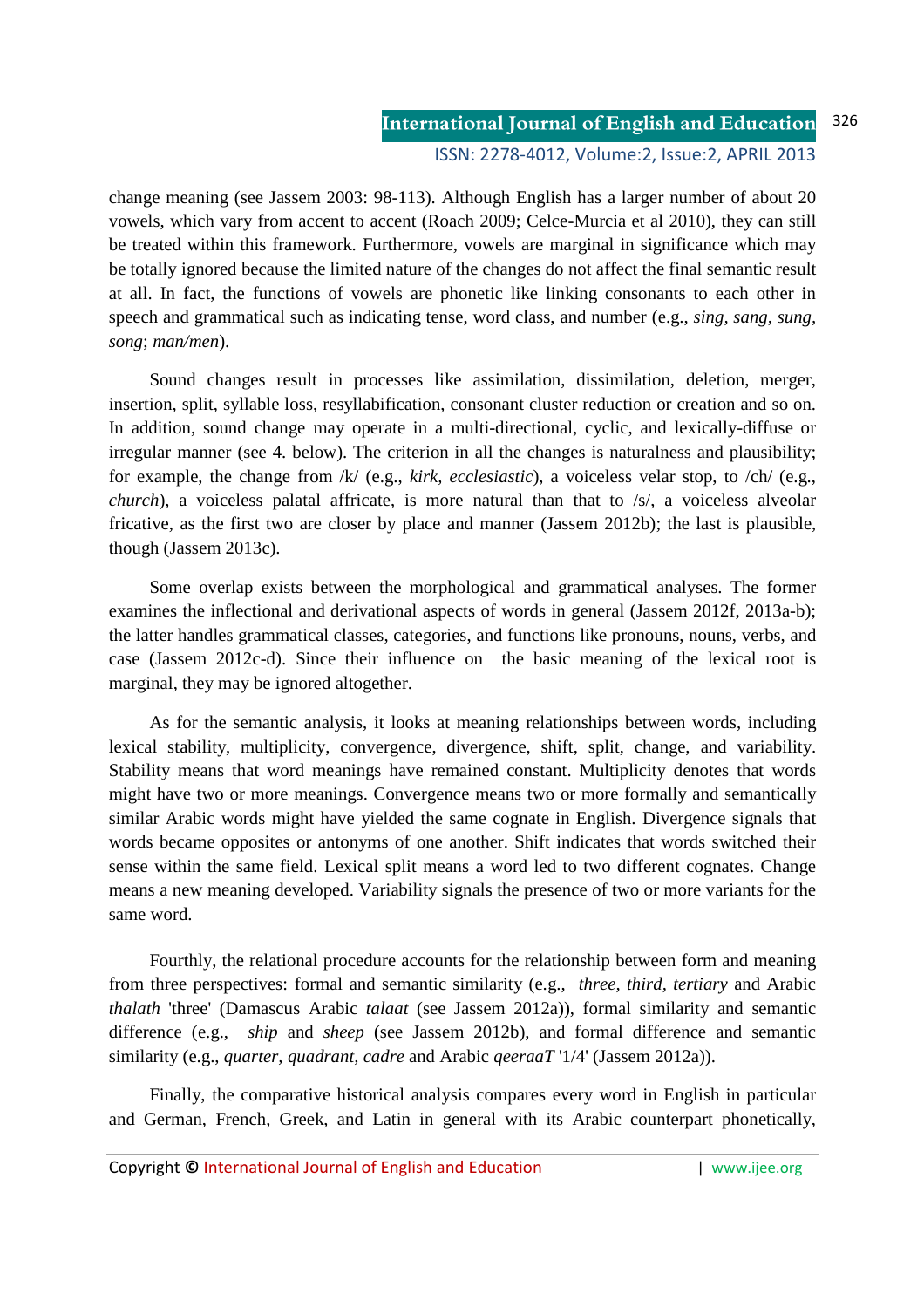change meaning (see Jassem 2003: 98-113). Although English has a larger number of about 20 vowels, which vary from accent to accent (Roach 2009; Celce-Murcia et al 2010), they can still be treated within this framework. Furthermore, vowels are marginal in significance which may be totally ignored because the limited nature of the changes do not affect the final semantic result at all. In fact, the functions of vowels are phonetic like linking consonants to each other in speech and grammatical such as indicating tense, word class, and number (e.g., *sing, sang, sung, song*; *man/men*).

Sound changes result in processes like assimilation, dissimilation, deletion, merger, insertion, split, syllable loss, resyllabification, consonant cluster reduction or creation and so on. In addition, sound change may operate in a multi-directional, cyclic, and lexically-diffuse or irregular manner (see 4. below). The criterion in all the changes is naturalness and plausibility; for example, the change from /k/ (e.g., *kirk, ecclesiastic*), a voiceless velar stop, to /ch/ (e.g., *church*), a voiceless palatal affricate, is more natural than that to /s/, a voiceless alveolar fricative, as the first two are closer by place and manner (Jassem 2012b); the last is plausible, though (Jassem 2013c).

Some overlap exists between the morphological and grammatical analyses. The former examines the inflectional and derivational aspects of words in general (Jassem 2012f, 2013a-b); the latter handles grammatical classes, categories, and functions like pronouns, nouns, verbs, and case (Jassem 2012c-d). Since their influence on the basic meaning of the lexical root is marginal, they may be ignored altogether.

As for the semantic analysis, it looks at meaning relationships between words, including lexical stability, multiplicity, convergence, divergence, shift, split, change, and variability. Stability means that word meanings have remained constant. Multiplicity denotes that words might have two or more meanings. Convergence means two or more formally and semantically similar Arabic words might have yielded the same cognate in English. Divergence signals that words became opposites or antonyms of one another. Shift indicates that words switched their sense within the same field. Lexical split means a word led to two different cognates. Change means a new meaning developed. Variability signals the presence of two or more variants for the same word.

Fourthly, the relational procedure accounts for the relationship between form and meaning from three perspectives: formal and semantic similarity (e.g., *three, third, tertiary* and Arabic *thalath* 'three' (Damascus Arabic *talaat* (see Jassem 2012a)), formal similarity and semantic difference (e.g., *ship* and *sheep* (see Jassem 2012b), and formal difference and semantic similarity (e.g., *quarter, quadrant, cadre* and Arabic *qeeraaT* '1/4' (Jassem 2012a)).

Finally, the comparative historical analysis compares every word in English in particular and German, French, Greek, and Latin in general with its Arabic counterpart phonetically,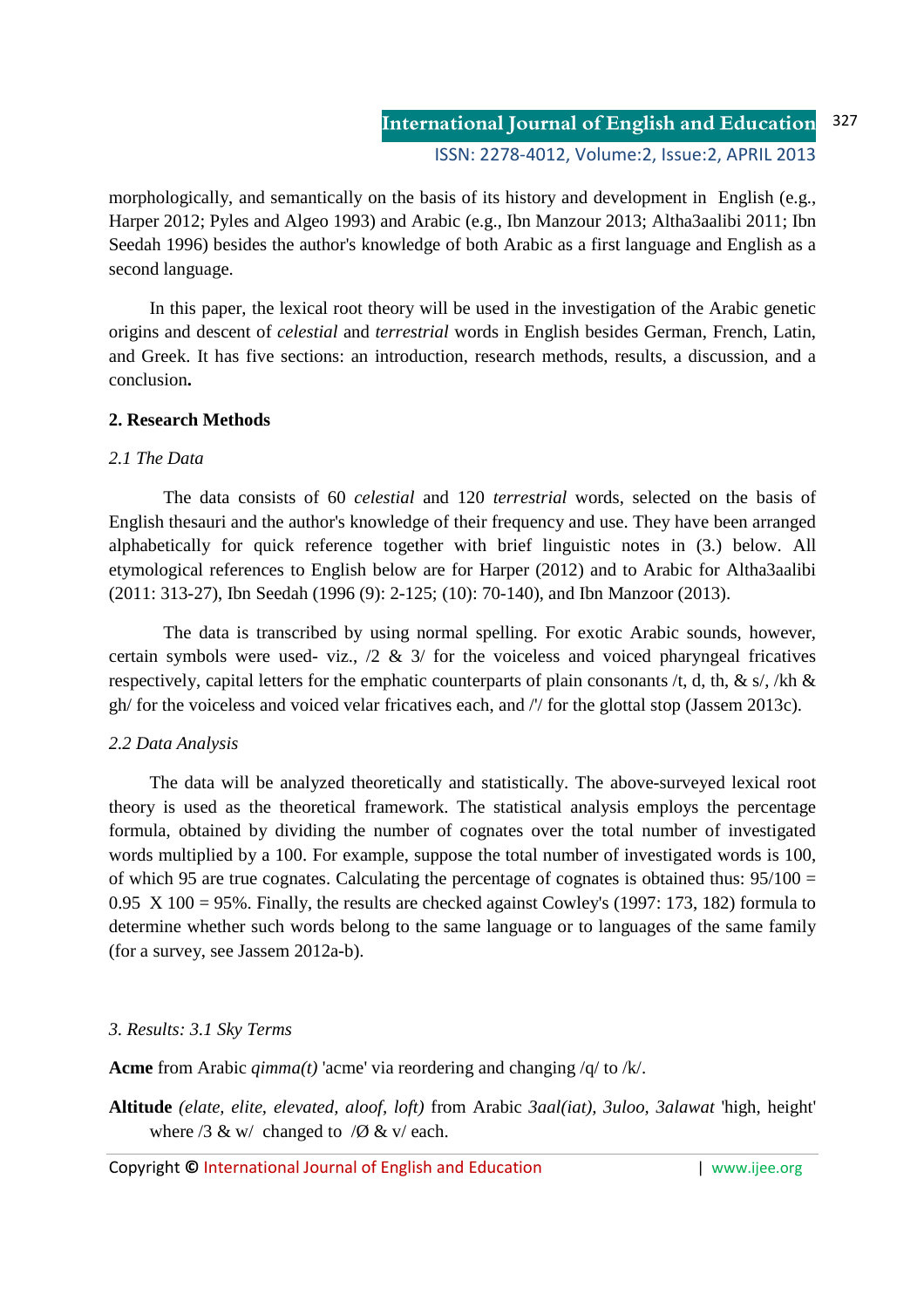morphologically, and semantically on the basis of its history and development in English (e.g., Harper 2012; Pyles and Algeo 1993) and Arabic (e.g., Ibn Manzour 2013; Altha3aalibi 2011; Ibn Seedah 1996) besides the author's knowledge of both Arabic as a first language and English as a second language.

In this paper, the lexical root theory will be used in the investigation of the Arabic genetic origins and descent of *celestial* and *terrestrial* words in English besides German, French, Latin, and Greek. It has five sections: an introduction, research methods, results, a discussion, and a conclusion**.**

### **2. Research Methods**

### *2.1 The Data*

The data consists of 60 *celestial* and 120 *terrestrial* words, selected on the basis of English thesauri and the author's knowledge of their frequency and use. They have been arranged alphabetically for quick reference together with brief linguistic notes in (3.) below. All etymological references to English below are for Harper (2012) and to Arabic for Altha3aalibi (2011: 313-27), Ibn Seedah (1996 (9): 2-125; (10): 70-140), and Ibn Manzoor (2013).

The data is transcribed by using normal spelling. For exotic Arabic sounds, however, certain symbols were used- viz.,  $\frac{2}{x}$   $\frac{2}{y}$  for the voiceless and voiced pharyngeal fricatives respectively, capital letters for the emphatic counterparts of plain consonants /t, d, th, & s/, /kh & gh/ for the voiceless and voiced velar fricatives each, and /'/ for the glottal stop (Jassem 2013c).

# *2.2 Data Analysis*

The data will be analyzed theoretically and statistically. The above-surveyed lexical root theory is used as the theoretical framework. The statistical analysis employs the percentage formula, obtained by dividing the number of cognates over the total number of investigated words multiplied by a 100. For example, suppose the total number of investigated words is 100, of which 95 are true cognates. Calculating the percentage of cognates is obtained thus:  $95/100 =$ 0.95 X 100 = 95%. Finally, the results are checked against Cowley's (1997: 173, 182) formula to determine whether such words belong to the same language or to languages of the same family (for a survey, see Jassem 2012a-b).

# *3. Results: 3.1 Sky Terms*

**Acme** from Arabic *qimma(t)* 'acme' via reordering and changing /q/ to /k/.

**Altitude** *(elate, elite, elevated, aloof, loft)* from Arabic *3aal(iat), 3uloo, 3alawat* 'high, height' where  $/3$  & w/ changed to  $/0$  & v/ each.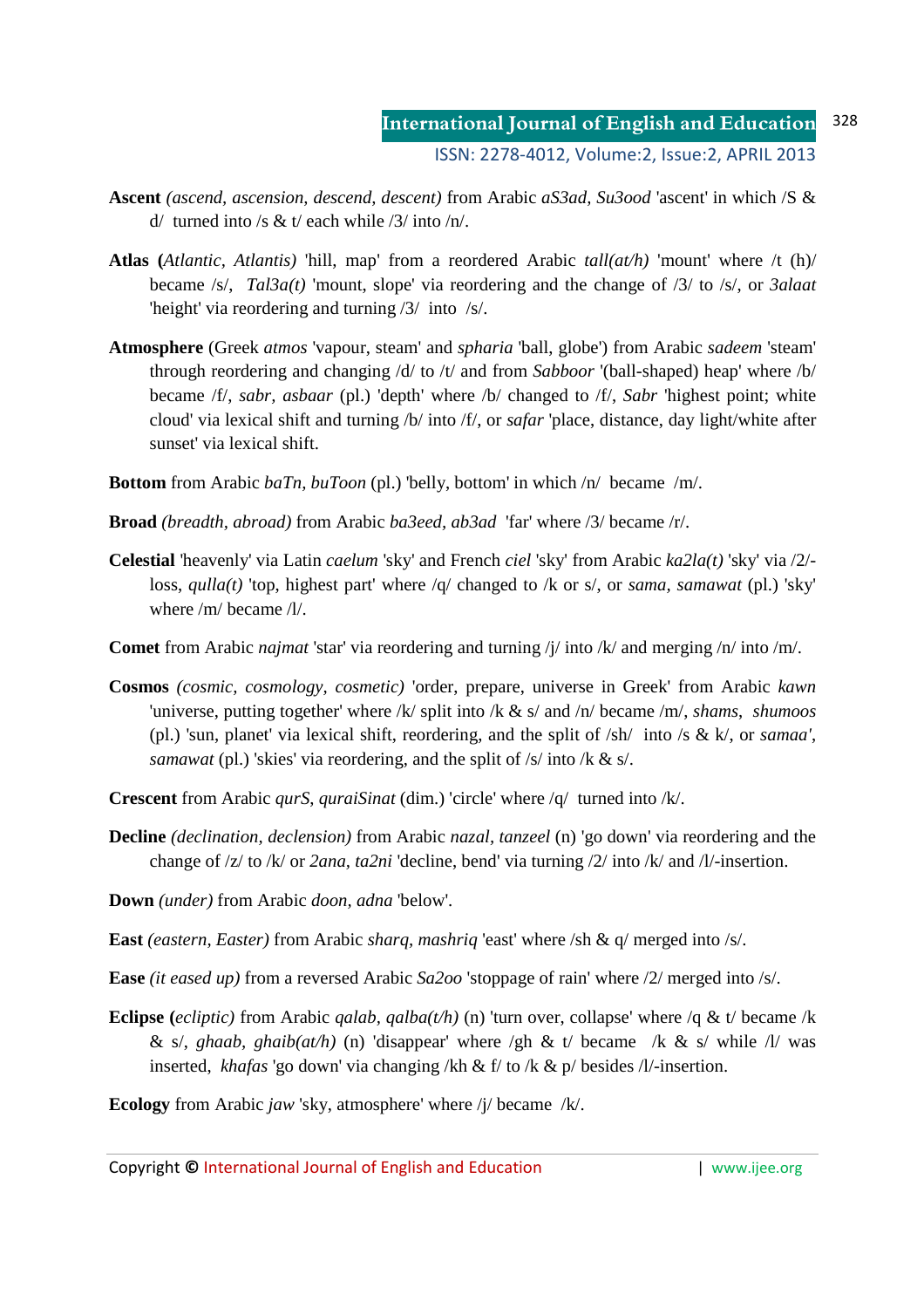- **Ascent** *(ascend, ascension, descend, descent)* from Arabic *aS3ad, Su3ood* 'ascent' in which /S &  $d /$  turned into /s & t/ each while /3/ into /n/.
- **Atlas (***Atlantic, Atlantis)* 'hill, map' from a reordered Arabic *tall(at/h)* 'mount' where /t (h)/ became /s/, *Tal3a(t)* 'mount, slope' via reordering and the change of /3/ to /s/, or *3alaat* 'height' via reordering and turning /3/ into /s/.
- **Atmosphere** (Greek *atmos* 'vapour, steam' and *spharia* 'ball, globe') from Arabic *sadeem* 'steam' through reordering and changing /d/ to /t/ and from *Sabboor* '(ball-shaped) heap' where /b/ became /f/, *sabr, asbaar* (pl.) 'depth' where /b/ changed to /f/, *Sabr* 'highest point; white cloud' via lexical shift and turning /b/ into /f/, or *safar* 'place, distance, day light/white after sunset' via lexical shift.
- **Bottom** from Arabic *baTn, buToon* (pl.) 'belly, bottom' in which /n/ became /m/.
- **Broad** *(breadth, abroad)* from Arabic *ba3eed, ab3ad* 'far' where /3/ became /r/.
- **Celestial** 'heavenly' via Latin *caelum* 'sky' and French *ciel* 'sky' from Arabic *ka2la(t)* 'sky' via /2/ loss, *qulla(t)* 'top, highest part' where /q/ changed to /k or s/, or *sama, samawat* (pl.) 'sky' where /m/ became /l/.
- **Comet** from Arabic *najmat* 'star' via reordering and turning /j/ into /k/ and merging /n/ into /m/.
- **Cosmos** *(cosmic, cosmology, cosmetic)* 'order, prepare, universe in Greek' from Arabic *kawn* 'universe, putting together' where /k/ split into /k & s/ and /n/ became /m/, *shams*, *shumoos*  (pl.) 'sun, planet' via lexical shift, reordering, and the split of /sh/ into /s & k/, or *samaa'*, *samawat* (pl.) 'skies' via reordering, and the split of /s/ into /k & s/.
- **Crescent** from Arabic *qurS*, *quraiSinat* (dim.) 'circle' where /q/ turned into /k/.
- **Decline** *(declination, declension)* from Arabic *nazal, tanzeel* (n) 'go down' via reordering and the change of /z/ to /k/ or *2ana, ta2ni* 'decline, bend' via turning /2/ into /k/ and /l/-insertion.
- **Down** *(under)* from Arabic *doon, adna* 'below'.
- **East** *(eastern, Easter)* from Arabic *sharq, mashriq* 'east' where /sh & q/ merged into /s/.
- **Ease** *(it eased up)* from a reversed Arabic *Sa2oo* 'stoppage of rain' where /2/ merged into /s/.
- **Eclipse** (*ecliptic*) from Arabic *qalab, qalba(t/h)* (n) 'turn over, collapse' where /q & t/ became /k & s/, *ghaab, ghaib(at/h)* (n) 'disappear' where /gh & t/ became /k & s/ while /l/ was inserted, *khafas* 'go down' via changing /kh & f/ to /k & p/ besides /l/-insertion.
- **Ecology** from Arabic *jaw* 'sky, atmosphere' where /j/ became /k/.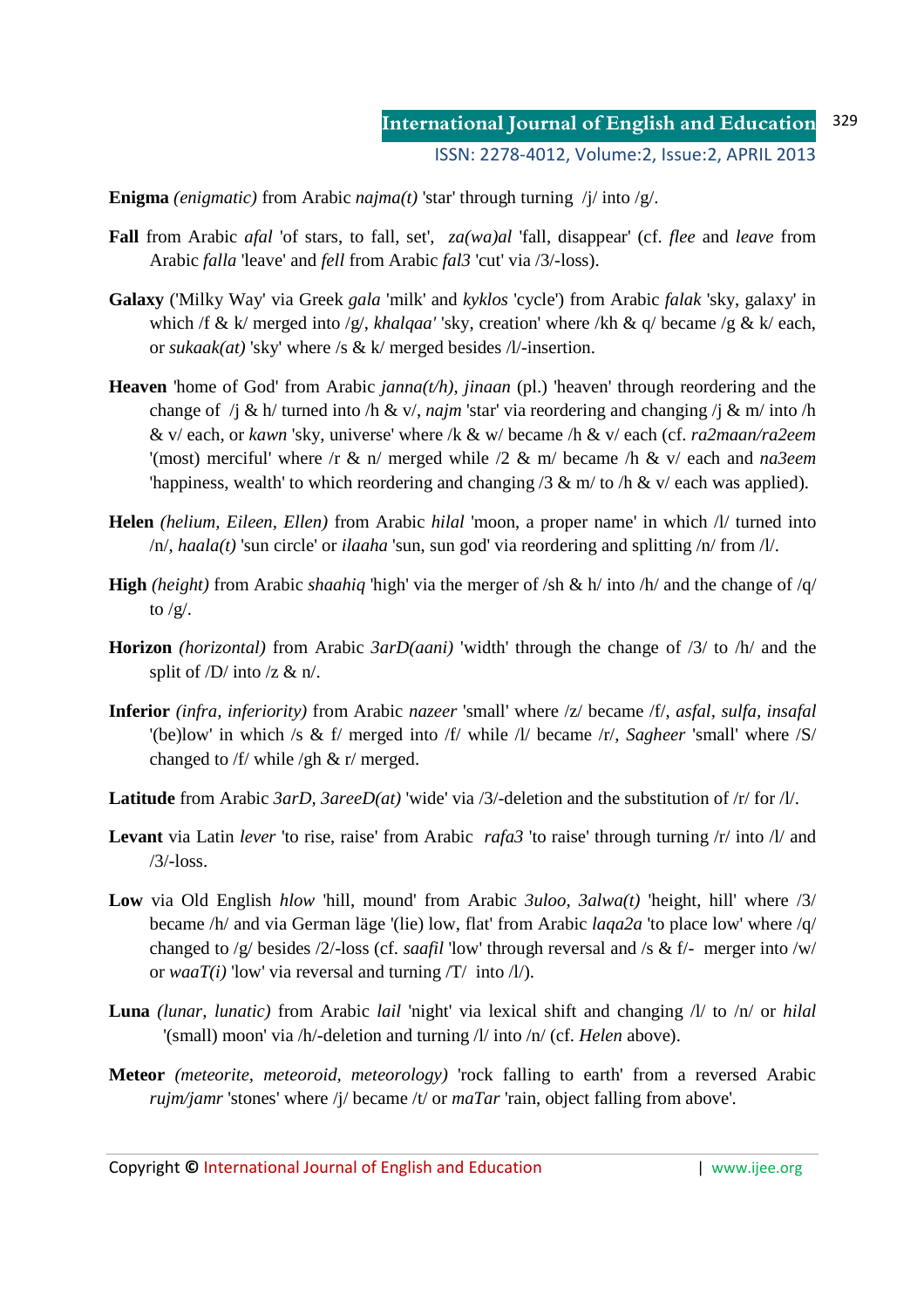**Enigma** *(enigmatic)* from Arabic *najma(t)* 'star' through turning  $/$ j/ into  $/g/$ .

- **Fall** from Arabic *afal* 'of stars, to fall, set', *za(wa)al* 'fall, disappear' (cf. *flee* and *leave* from Arabic *falla* 'leave' and *fell* from Arabic *fal3* 'cut' via /3/-loss).
- **Galaxy** ('Milky Way' via Greek *gala* 'milk' and *kyklos* 'cycle') from Arabic *falak* 'sky, galaxy' in which /f & k/ merged into /g/, *khalqaa'* 'sky, creation' where /kh & q/ became /g & k/ each, or *sukaak(at)* 'sky' where /s & k/ merged besides /l/-insertion.
- **Heaven** 'home of God' from Arabic *janna(t/h)*, *jinaan* (pl.) 'heaven' through reordering and the change of /j & h/ turned into /h & v/, *najm* 'star' via reordering and changing /j & m/ into /h & v/ each, or *kawn* 'sky, universe' where /k & w/ became /h & v/ each (cf. *ra2maan/ra2eem* '(most) merciful' where /r & n/ merged while /2 & m/ became /h & v/ each and *na3eem* 'happiness, wealth' to which reordering and changing /3 & m/ to /h & v/ each was applied).
- **Helen** *(helium, Eileen, Ellen)* from Arabic *hilal* 'moon, a proper name' in which /l/ turned into /n/, *haala(t)* 'sun circle' or *ilaaha* 'sun, sun god' via reordering and splitting /n/ from /l/.
- **High** *(height)* from Arabic *shaahiq* 'high' via the merger of /sh & h/ into /h/ and the change of /q/ to  $/g/$ .
- **Horizon** *(horizontal)* from Arabic *3arD(aani)* 'width' through the change of /3/ to /h/ and the split of  $\overline{D}$  into  $\overline{z}$  & n/.
- **Inferior** *(infra, inferiority)* from Arabic *nazeer* 'small' where /z/ became /f/, *asfal, sulfa, insafal* '(be)low' in which /s & f/ merged into /f/ while /l/ became /r/, *Sagheer* 'small' where /S/ changed to /f/ while /gh & r/ merged.
- **Latitude** from Arabic *3arD, 3areeD(at)* 'wide' via /3/-deletion and the substitution of /r/ for /l/.
- **Levant** via Latin *lever* 'to rise, raise' from Arabic *rafa3* 'to raise' through turning /r/ into /l/ and /3/-loss.
- **Low** via Old English *hlow* 'hill, mound' from Arabic *3uloo, 3alwa(t)* 'height, hill' where /3/ became /h/ and via German läge '(lie) low, flat' from Arabic *laqa2a* 'to place low' where /q/ changed to /g/ besides /2/-loss (cf. *saafil* 'low' through reversal and /s & f/- merger into /w/ or *waaT(i)* 'low' via reversal and turning  $\langle T \rangle$  into  $\langle \frac{1}{\rangle}$ .
- **Luna** *(lunar, lunatic)* from Arabic *lail* 'night' via lexical shift and changing /l/ to /n/ or *hilal* '(small) moon' via /h/-deletion and turning /l/ into /n/ (cf. *Helen* above).
- **Meteor** *(meteorite, meteoroid, meteorology)* 'rock falling to earth' from a reversed Arabic *rujm/jamr* 'stones' where /j/ became /t/ or *maTar* 'rain, object falling from above'.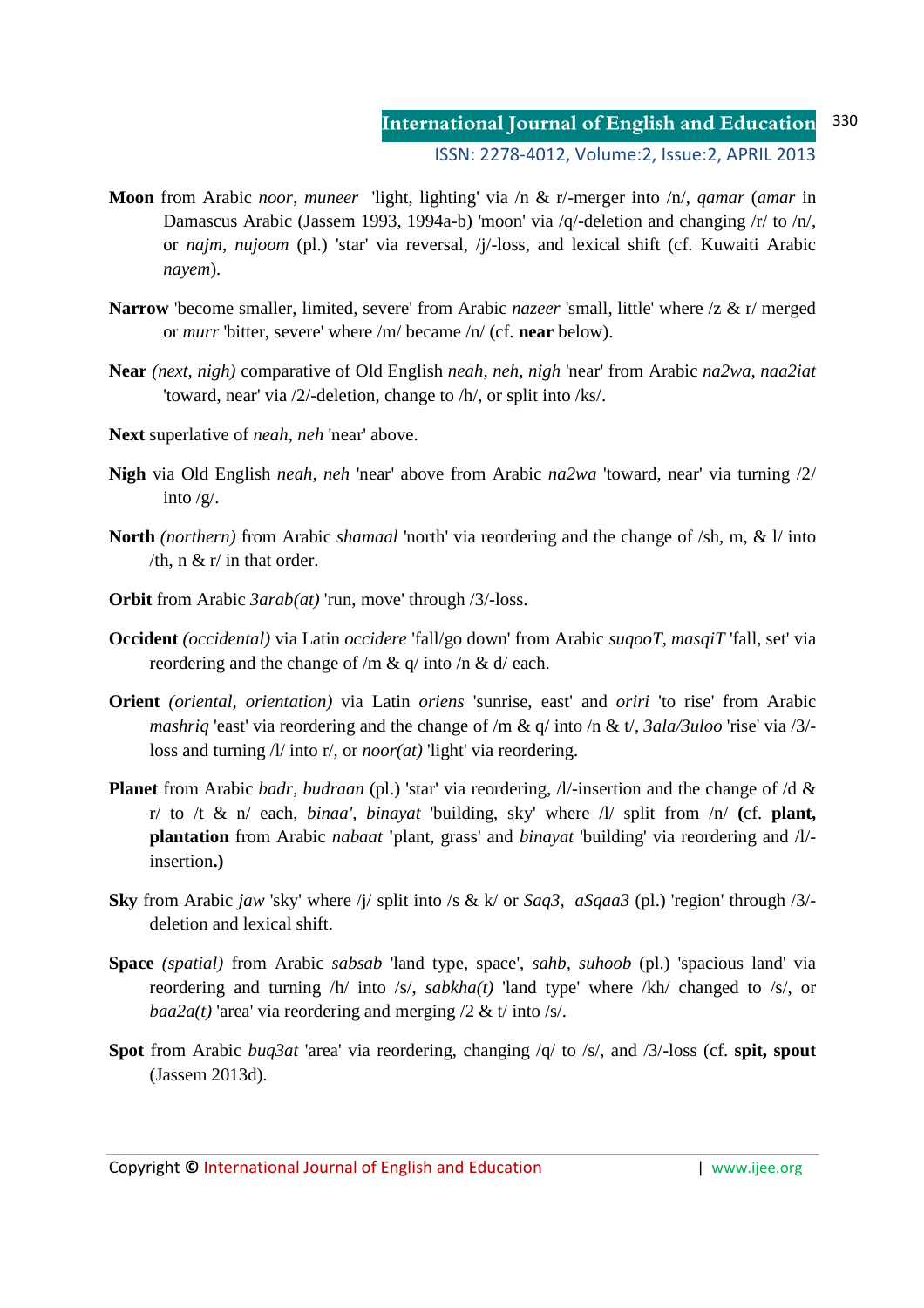- **Moon** from Arabic *noor*, *muneer* 'light, lighting' via /n & r/-merger into /n/, *qamar* (*amar* in Damascus Arabic (Jassem 1993, 1994a-b) 'moon' via /q/-deletion and changing /r/ to /n/, or *najm*, *nujoom* (pl.) 'star' via reversal, /j/-loss, and lexical shift (cf. Kuwaiti Arabic *nayem*).
- **Narrow** 'become smaller, limited, severe' from Arabic *nazeer* 'small, little' where /z & r/ merged or *murr* 'bitter, severe' where /m/ became /n/ (cf. **near** below).
- **Near** *(next, nigh)* comparative of Old English *neah, neh, nigh* 'near' from Arabic *na2wa, naa2iat* 'toward, near' via /2/-deletion, change to /h/, or split into /ks/.
- **Next** superlative of *neah, neh* 'near' above.
- **Nigh** via Old English *neah, neh* 'near' above from Arabic *na2wa* 'toward, near' via turning /2/ into /g/.
- **North** *(northern)* from Arabic *shamaal* 'north' via reordering and the change of /sh, m, & l/ into /th,  $n \& r/$  in that order.
- **Orbit** from Arabic *3arab(at)* 'run, move' through /3/-loss.
- **Occident** *(occidental)* via Latin *occidere* 'fall/go down' from Arabic *suqooT, masqiT* 'fall, set' via reordering and the change of /m & q/ into /n & d/ each.
- **Orient** *(oriental, orientation)* via Latin *oriens* 'sunrise, east' and *oriri* 'to rise' from Arabic *mashriq* 'east' via reordering and the change of /m & q/ into /n & t/, *3ala/3uloo* 'rise' via /3/ loss and turning /l/ into r/, or *noor(at)* 'light' via reordering.
- **Planet** from Arabic *badr, budraan* (pl.) 'star' via reordering, /l/-insertion and the change of /d & r/ to /t & n/ each, *binaa', binayat* 'building, sky' where /l/ split from /n/ **(**cf. **plant, plantation** from Arabic *nabaat* **'**plant, grass' and *binayat* 'building' via reordering and /l/ insertion**.)**
- **Sky** from Arabic *jaw* 'sky' where /j/ split into /s & k/ or *Saq3, aSqaa3* (pl.) 'region' through /3/ deletion and lexical shift.
- **Space** *(spatial)* from Arabic *sabsab* 'land type, space', *sahb, suhoob* (pl.) 'spacious land' via reordering and turning /h/ into /s/, *sabkha(t)* 'land type' where /kh/ changed to /s/, or *baa2a(t)* 'area' via reordering and merging  $/2$  & t/ into  $/s$ .
- **Spot** from Arabic *buq3at* 'area' via reordering, changing /q/ to /s/, and /3/-loss (cf. **spit, spout** (Jassem 2013d).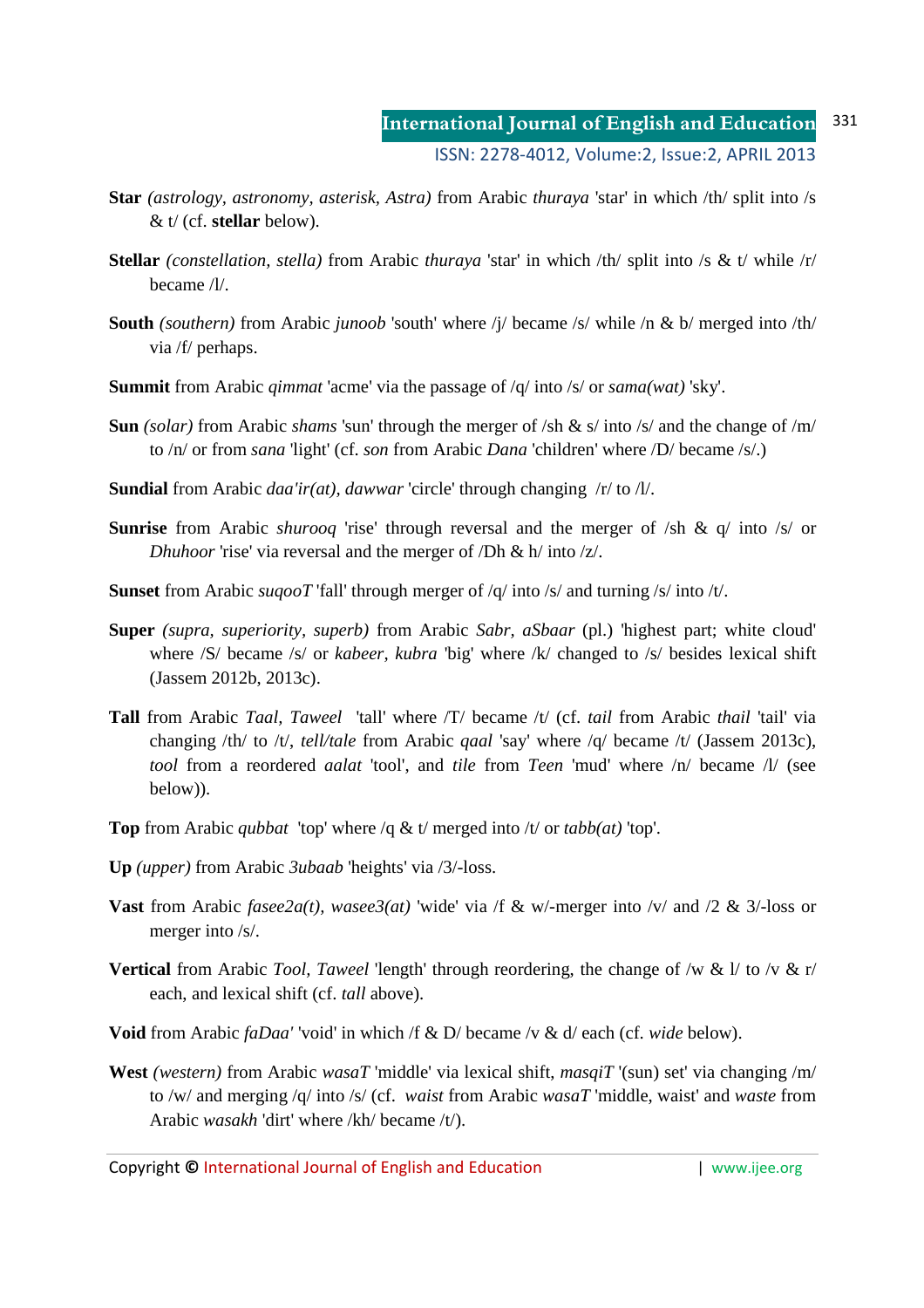- **Star** *(astrology, astronomy, asterisk, Astra)* from Arabic *thuraya* 'star' in which /th/ split into /s & t/ (cf. **stellar** below).
- **Stellar** *(constellation, stella)* from Arabic *thuraya* 'star' in which /th/ split into /s & t/ while /r/ became /l/.
- **South** *(southern)* from Arabic *junoob* 'south' where /j/ became /s/ while /n & b/ merged into /th/ via /f/ perhaps.
- **Summit** from Arabic *qimmat* 'acme' via the passage of /q/ into /s/ or *sama(wat)* 'sky'.
- **Sun** *(solar)* from Arabic *shams* 'sun' through the merger of /sh & s/ into /s/ and the change of /m/ to /n/ or from *sana* 'light' (cf. *son* from Arabic *Dana* 'children' where /D/ became /s/.)
- **Sundial** from Arabic *daa'ir(at), dawwar* 'circle' through changing /r/ to /l/.
- **Sunrise** from Arabic *shurooq* 'rise' through reversal and the merger of /sh & q/ into /s/ or *Dhuhoor* 'rise' via reversal and the merger of /Dh & h/ into /z/.
- **Sunset** from Arabic *suqooT* 'fall' through merger of /q/ into /s/ and turning /s/ into /t/.
- **Super** *(supra, superiority, superb)* from Arabic *Sabr, aSbaar* (pl.) 'highest part; white cloud' where /S/ became /s/ or *kabeer, kubra* 'big' where /k/ changed to /s/ besides lexical shift (Jassem 2012b, 2013c).
- **Tall** from Arabic *Taal, Taweel* 'tall' where /T/ became /t/ (cf. *tail* from Arabic *thail* 'tail' via changing /th/ to /t/, *tell/tale* from Arabic *qaal* 'say' where /q/ became /t/ (Jassem 2013c), *tool* from a reordered *aalat* 'tool', and *tile* from *Teen* 'mud' where /n/ became /l/ (see below)).
- **Top** from Arabic *qubbat* 'top' where /q & t/ merged into /t/ or *tabb(at)* 'top'.
- **Up** *(upper)* from Arabic *3ubaab* 'heights' via /3/-loss.
- **Vast** from Arabic *fasee2a(t), wasee3(at)* 'wide' via /f & w/-merger into /v/ and /2 & 3/-loss or merger into /s/.
- **Vertical** from Arabic *Tool, Taweel* 'length' through reordering, the change of /w & l/ to /v & r/ each, and lexical shift (cf. *tall* above).
- **Void** from Arabic *faDaa'* 'void' in which /f & D/ became /v & d/ each (cf. *wide* below).
- **West** *(western)* from Arabic *wasaT* 'middle' via lexical shift, *masqiT* '(sun) set' via changing /m/ to /w/ and merging /q/ into /s/ (cf. *waist* from Arabic *wasaT* 'middle, waist' and *waste* from Arabic *wasakh* 'dirt' where /kh/ became /t/).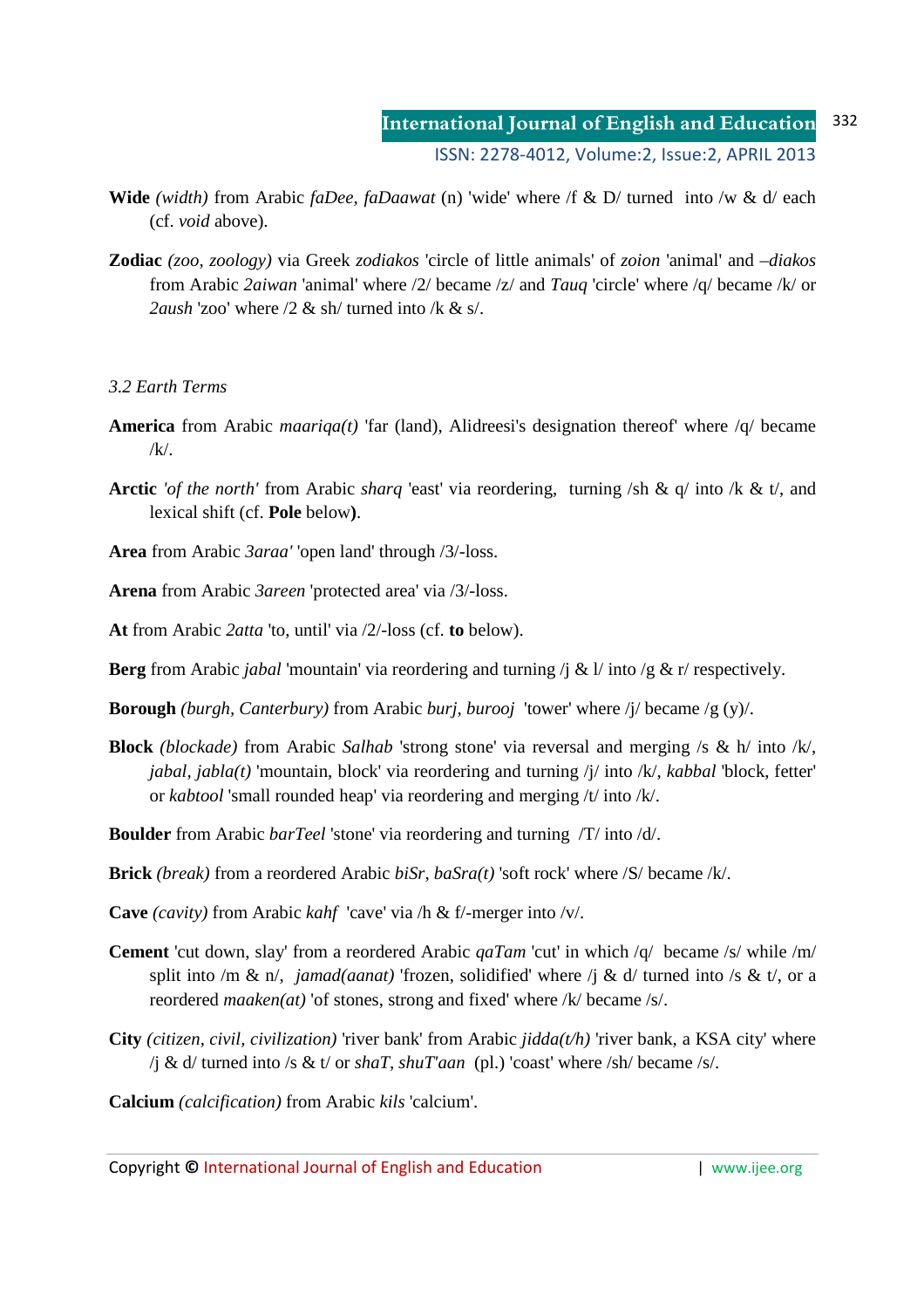- **Wide** *(width)* from Arabic *faDee, faDaawat* (n) 'wide' where /f & D/ turned into /w & d/ each (cf. *void* above).
- **Zodiac** *(zoo, zoology)* via Greek *zodiakos* 'circle of little animals' of *zoion* 'animal' and *–diakos* from Arabic *2aiwan* 'animal' where /2/ became /z/ and *Tauq* 'circle' where /q/ became /k/ or *2aush* 'zoo' where /2 & sh/ turned into /k & s/.

# *3.2 Earth Terms*

- **America** from Arabic *maariqa(t)* 'far (land), Alidreesi's designation thereof' where /q/ became  $/k/$ .
- **Arctic** *'of the north'* from Arabic *sharq* 'east' via reordering, turning /sh & q/ into /k & t/, and lexical shift (cf. **Pole** below**)**.

**Area** from Arabic *3araa'* 'open land' through /3/-loss.

**Arena** from Arabic *3areen* 'protected area' via /3/-loss.

**At** from Arabic *2atta* 'to, until' via /2/-loss (cf. **to** below).

**Berg** from Arabic *jabal* 'mountain' via reordering and turning /j & l/ into /g & r/ respectively.

**Borough** *(burgh, Canterbury)* from Arabic *burj, burooj* 'tower' where /j/ became /g (y)/.

**Block** *(blockade)* from Arabic *Salhab* 'strong stone' via reversal and merging /s & h/ into /k/, *jabal, jabla(t)* 'mountain, block' via reordering and turning /j/ into /k/, *kabbal* 'block, fetter' or *kabtool* 'small rounded heap' via reordering and merging /t/ into /k/.

**Boulder** from Arabic *barTeel* 'stone' via reordering and turning /T/ into /d/.

**Brick** *(break)* from a reordered Arabic *biSr, baSra(t)* 'soft rock' where /S/ became /k/.

**Cave** *(cavity)* from Arabic *kahf* 'cave' via /h & f/-merger into /v/.

- **Cement** 'cut down, slay' from a reordered Arabic *qaTam* 'cut' in which /q/ became /s/ while /m/ split into /m & n/, *jamad(aanat)* 'frozen, solidified' where /j & d/ turned into /s & t/, or a reordered *maaken(at)* 'of stones, strong and fixed' where /k/ became /s/.
- **City** *(citizen, civil, civilization)* 'river bank' from Arabic *jidda(t/h)* 'river bank, a KSA city' where /j & d/ turned into /s & t/ or *shaT, shuT'aan* (pl.) 'coast' where /sh/ became /s/.

**Calcium** *(calcification)* from Arabic *kils* 'calcium'.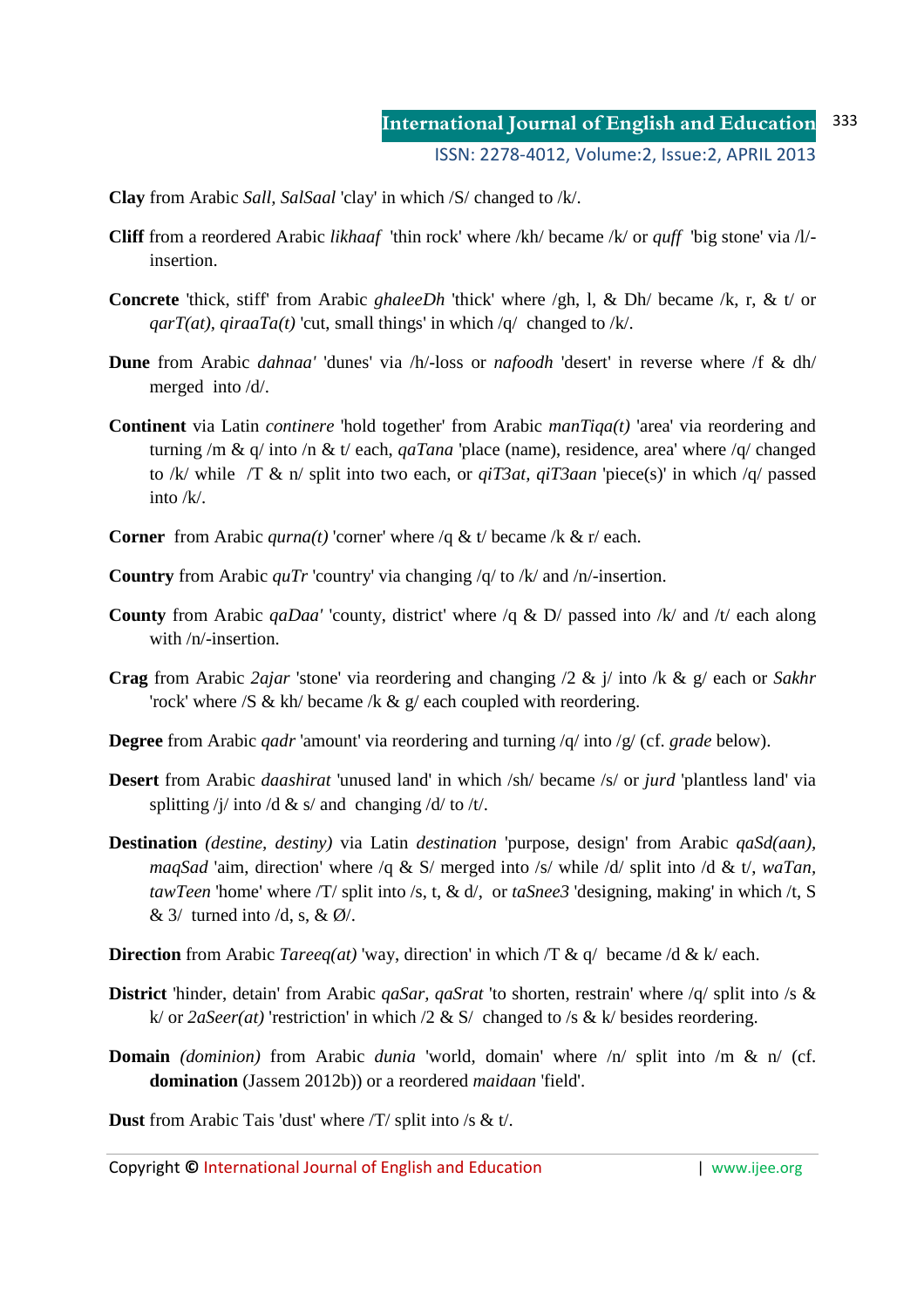**Clay** from Arabic *Sall, SalSaal* 'clay' in which /S/ changed to /k/.

- **Cliff** from a reordered Arabic *likhaaf* 'thin rock' where /kh/ became /k/ or *quff* 'big stone' via /l/ insertion.
- **Concrete** 'thick, stiff' from Arabic *ghaleeDh* 'thick' where /gh, l, & Dh/ became /k, r, & t/ or *qarT(at), qiraaTa(t)* 'cut, small things' in which  $/q$  changed to /k/.
- **Dune** from Arabic *dahnaa'* 'dunes' via /h/-loss or *nafoodh* 'desert' in reverse where /f & dh/ merged into /d/.
- **Continent** via Latin *continere* 'hold together' from Arabic *manTiqa(t)* 'area' via reordering and turning /m & q/ into /n & t/ each, *qaTana* 'place (name), residence, area' where /q/ changed to /k/ while /T & n/ split into two each, or *qiT3at, qiT3aan* 'piece(s)' in which /q/ passed into /k/.
- **Corner** from Arabic *qurna(t)* 'corner' where /q & t/ became /k & r/ each.
- **Country** from Arabic *quTr* 'country' via changing /q/ to /k/ and /n/-insertion.
- **County** from Arabic *qaDaa'* 'county, district' where /q & D/ passed into /k/ and /t/ each along with /n/-insertion.
- **Crag** from Arabic *2ajar* 'stone' via reordering and changing /2 & j/ into /k & g/ each or *Sakhr* 'rock' where /S & kh/ became /k &  $g$ / each coupled with reordering.
- **Degree** from Arabic *qadr* 'amount' via reordering and turning /q/ into /g/ (cf. *grade* below).
- **Desert** from Arabic *daashirat* 'unused land' in which /sh/ became /s/ or *jurd* 'plantless land' via splitting /j/ into /d & s/ and changing /d/ to /t/.
- **Destination** *(destine, destiny)* via Latin *destination* 'purpose, design' from Arabic *qaSd(aan), maqSad* 'aim, direction' where /q & S/ merged into /s/ while /d/ split into /d & t/, *waTan, tawTeen* 'home' where /T/ split into /s, t, & d/, or *taSnee3* 'designing, making' in which /t, S  $\&$  3/ turned into /d, s,  $\&$  Ø/.
- **Direction** from Arabic *Tareeq(at)* 'way, direction' in which  $\pi \& q$  became  $\alpha \& k$  each.
- **District** 'hinder, detain' from Arabic *qaSar, qaSrat* 'to shorten, restrain' where /q/ split into /s & k/ or *2aSeer(at)* 'restriction' in which /2 & S/ changed to /s & k/ besides reordering.
- **Domain** *(dominion)* from Arabic *dunia* 'world, domain' where /n/ split into /m & n/ (cf. **domination** (Jassem 2012b)) or a reordered *maidaan* 'field'.

**Dust** from Arabic Tais 'dust' where /T/ split into /s & t/.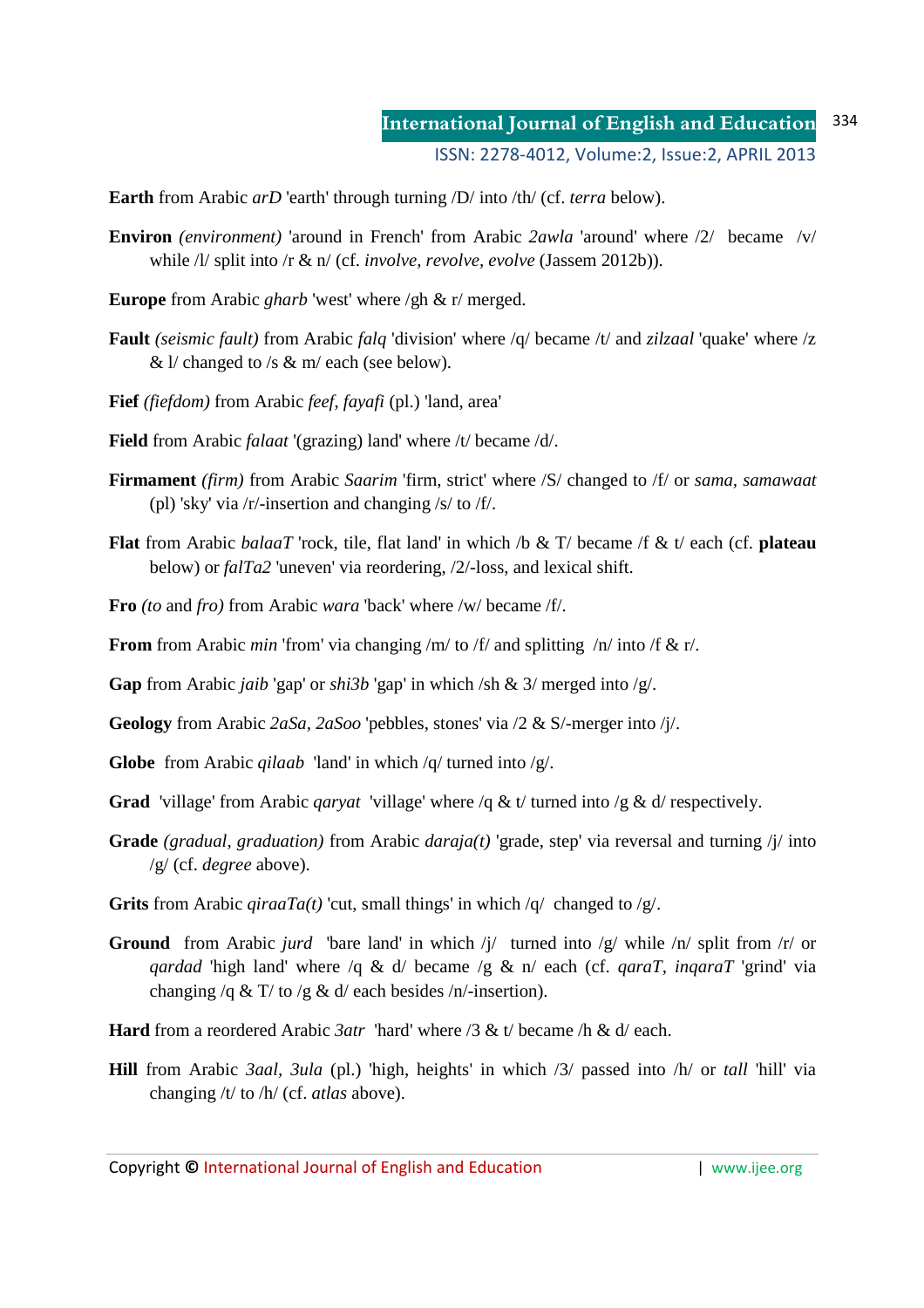**Earth** from Arabic *arD* 'earth' through turning /D/ into /th/ (cf. *terra* below).

- **Environ** *(environment)* 'around in French' from Arabic *2awla* 'around' where /2/ became /v/ while /l/ split into /r & n/ (cf. *involve, revolve, evolve* (Jassem 2012b)).
- **Europe** from Arabic *gharb* 'west' where /gh & r/ merged.
- **Fault** *(seismic fault)* from Arabic *falq* 'division' where /q/ became /t/ and *zilzaal* 'quake' where /z &  $1/$  changed to /s & m/ each (see below).
- **Fief** *(fiefdom)* from Arabic *feef*, *fayafi* (pl.) 'land, area'
- **Field** from Arabic *falaat* '(grazing) land' where /t/ became /d/.
- **Firmament** *(firm)* from Arabic *Saarim* 'firm, strict' where /S/ changed to /f/ or *sama, samawaat* (pl) 'sky' via /r/-insertion and changing /s/ to /f/.
- **Flat** from Arabic *balaaT* 'rock, tile, flat land' in which /b & T/ became /f & t/ each (cf. **plateau** below) or *falTa2* 'uneven' via reordering, /2/-loss, and lexical shift.
- **Fro** *(to* and *fro)* from Arabic *wara* 'back' where /w/ became /f/.
- **From** from Arabic *min* 'from' via changing /m/ to /f/ and splitting /n/ into /f & r/.

**Gap** from Arabic *jaib* 'gap' or *shi3b* 'gap' in which /sh & 3/ merged into /g/.

- **Geology** from Arabic *2aSa, 2aSoo* 'pebbles, stones' via /2 & S/-merger into /j/.
- **Globe** from Arabic *qilaab* 'land' in which /q/ turned into /g/.
- **Grad** 'village' from Arabic *qaryat* 'village' where /q & t/ turned into /g & d/ respectively.
- **Grade** *(gradual, graduation)* from Arabic *daraja(t)* 'grade, step' via reversal and turning /j/ into /g/ (cf. *degree* above).
- **Grits** from Arabic *qiraaTa(t)* 'cut, small things' in which /q/ changed to /g/.
- **Ground** from Arabic *jurd* 'bare land' in which /j/ turned into /g/ while /n/ split from /r/ or *qardad* 'high land' where /q & d/ became /g & n/ each (cf. *qaraT, inqaraT* 'grind' via changing /q & T/ to /g & d/ each besides /n/-insertion).
- **Hard** from a reordered Arabic *3atr* 'hard' where /3 & t/ became /h & d/ each.
- **Hill** from Arabic *3aal, 3ula* (pl.) 'high, heights' in which /3/ passed into /h/ or *tall* 'hill' via changing /t/ to /h/ (cf. *atlas* above).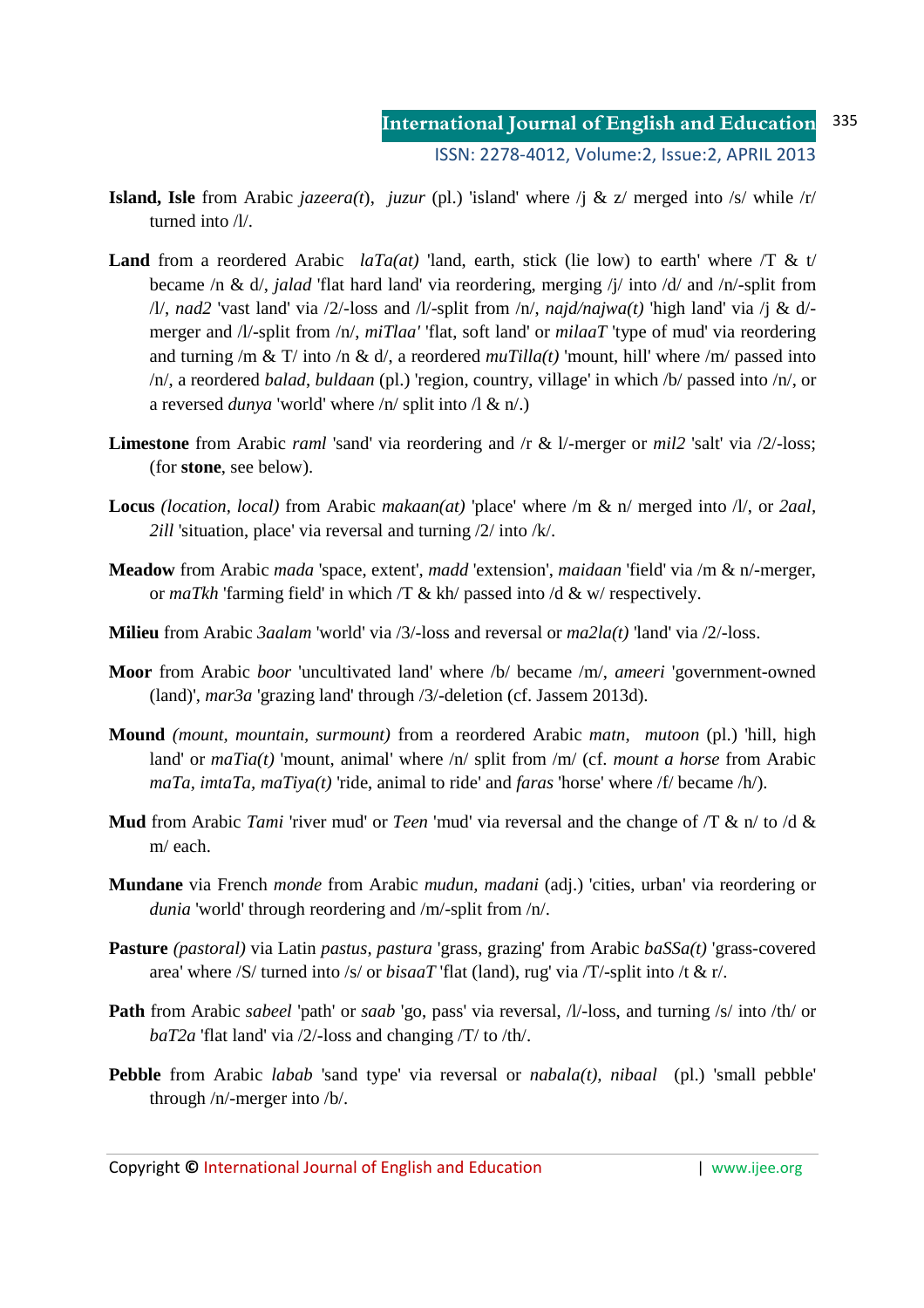- **Island, Isle** from Arabic *jazeera(t)*, *juzur* (pl.) 'island' where  $\ell_1 \& z$  merged into  $\ell s$  while  $\ell r$ turned into /l/.
- **Land** from a reordered Arabic *laTa(at)* 'land, earth, stick (lie low) to earth' where  $\overline{\Lambda}$  & t/ became /n & d/, *jalad* 'flat hard land' via reordering, merging /j/ into /d/ and /n/-split from /l/, *nad2* 'vast land' via /2/-loss and /l/-split from /n/, *najd/najwa(t)* 'high land' via /j & d/ merger and /l/-split from /n/, *miTlaa'* 'flat, soft land' or *milaaT* 'type of mud' via reordering and turning /m & T/ into /n & d/, a reordered *muTilla(t)* 'mount, hill' where /m/ passed into /n/, a reordered *balad*, *buldaan* (pl.) 'region, country, village' in which /b/ passed into /n/, or a reversed *dunya* 'world' where /n/ split into /l & n/.)
- **Limestone** from Arabic *raml* 'sand' via reordering and /r & l/-merger or *mil2* 'salt' via /2/-loss; (for **stone**, see below).
- **Locus** *(location, local)* from Arabic *makaan(at)* 'place' where /m & n/ merged into /l/, or *2aal, 2ill* 'situation, place' via reversal and turning /2/ into /k/.
- **Meadow** from Arabic *mada* 'space, extent', *madd* 'extension', *maidaan* 'field' via /m & n/-merger, or *maTkh* 'farming field' in which /T & kh/ passed into /d & w/ respectively.
- **Milieu** from Arabic *3aalam* 'world' via /3/-loss and reversal or *ma2la(t)* 'land' via /2/-loss.
- **Moor** from Arabic *boor* 'uncultivated land' where /b/ became /m/, *ameeri* 'government-owned (land)', *mar3a* 'grazing land' through /3/-deletion (cf. Jassem 2013d).
- **Mound** *(mount, mountain, surmount)* from a reordered Arabic *matn*, *mutoon* (pl.) 'hill, high land' or *maTia(t)* 'mount, animal' where /n/ split from /m/ (cf. *mount a horse* from Arabic *maTa, imtaTa, maTiya(t)* 'ride, animal to ride' and *faras* 'horse' where /f/ became /h/).
- **Mud** from Arabic *Tami* 'river mud' or *Teen* 'mud' via reversal and the change of  $\pi \& n$  to  $\frac{\partial}{\partial x}$ m/ each.
- **Mundane** via French *monde* from Arabic *mudun, madani* (adj.) 'cities, urban' via reordering or *dunia* 'world' through reordering and /m/-split from /n/.
- **Pasture** *(pastoral)* via Latin *pastus, pastura* 'grass, grazing' from Arabic *baSSa(t)* 'grass-covered area' where /S/ turned into /s/ or *bisaaT* 'flat (land), rug' via /T/-split into /t & r/.
- **Path** from Arabic *sabeel* 'path' or *saab* 'go, pass' via reversal, /l/-loss, and turning /s/ into /th/ or *baT2a* 'flat land' via /2/-loss and changing /T/ to /th/.
- **Pebble** from Arabic *labab* 'sand type' via reversal or *nabala(t), nibaal* (pl.) 'small pebble' through /n/-merger into /b/.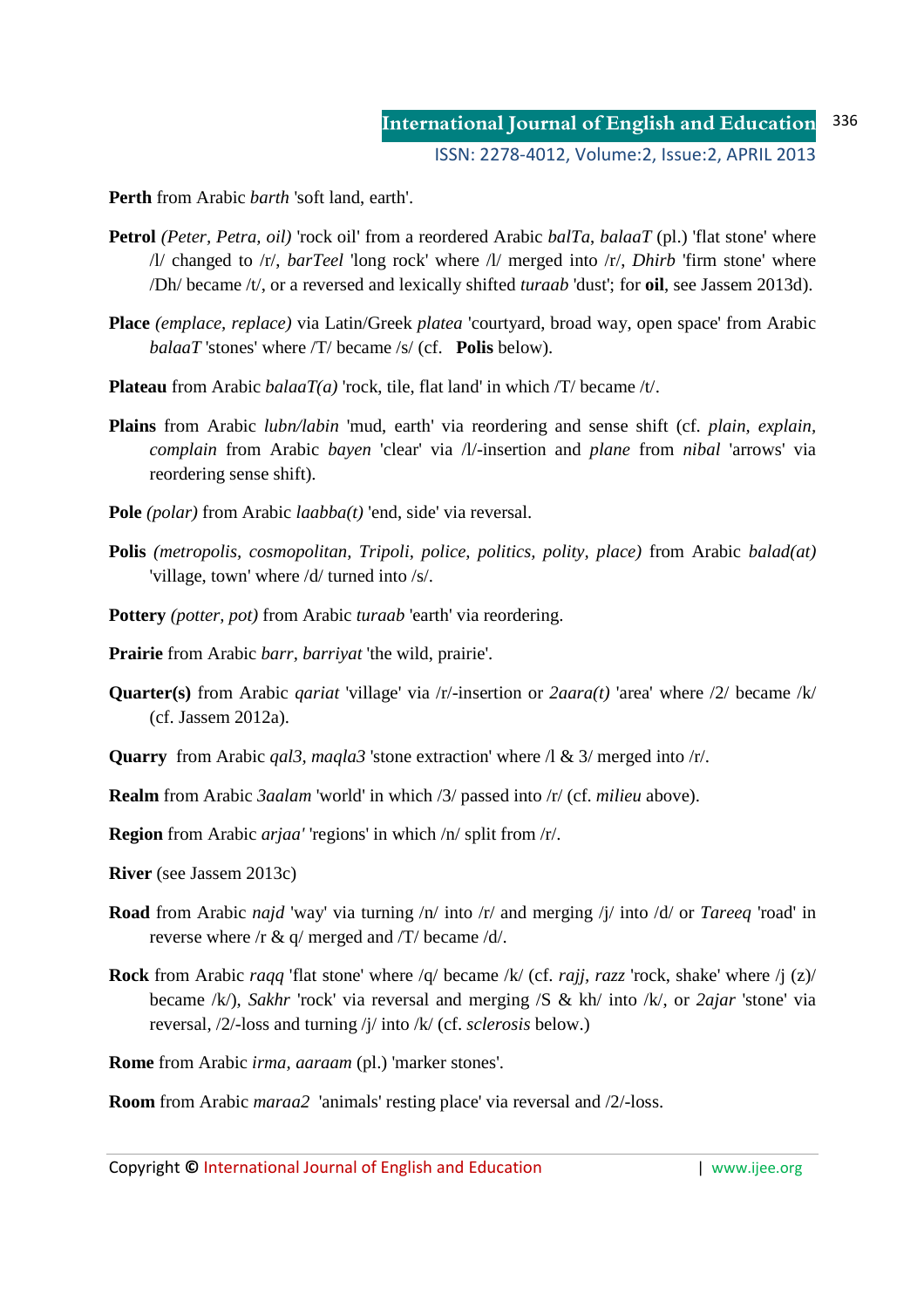**Perth** from Arabic *barth* 'soft land, earth'.

- **Petrol** *(Peter, Petra, oil)* 'rock oil' from a reordered Arabic *balTa, balaaT* (pl.) 'flat stone' where /l/ changed to /r/, *barTeel* 'long rock' where /l/ merged into /r/, *Dhirb* 'firm stone' where /Dh/ became /t/, or a reversed and lexically shifted *turaab* 'dust'; for **oil**, see Jassem 2013d).
- **Place** *(emplace, replace)* via Latin/Greek *platea* 'courtyard, broad way, open space' from Arabic *balaaT* 'stones' where /T/ became /s/ (cf. **Polis** below).
- **Plateau** from Arabic *balaaT(a)* 'rock, tile, flat land' in which  $\pi$ / became /t/.
- **Plains** from Arabic *lubn/labin* 'mud, earth' via reordering and sense shift (cf. *plain, explain, complain* from Arabic *bayen* 'clear' via /l/-insertion and *plane* from *nibal* 'arrows' via reordering sense shift).
- **Pole** *(polar)* from Arabic *laabba(t)* 'end, side' via reversal.
- **Polis** *(metropolis, cosmopolitan, Tripoli, police, politics, polity, place)* from Arabic *balad(at)*  'village, town' where /d/ turned into /s/.
- **Pottery** *(potter, pot)* from Arabic *turaab* 'earth' via reordering.
- **Prairie** from Arabic *barr, barriyat* 'the wild, prairie'.
- **Quarter(s)** from Arabic *qariat* 'village' via /r/-insertion or *2aara(t)* 'area' where /2/ became /k/ (cf. Jassem 2012a).
- **Quarry** from Arabic *qal3, maqla3* 'stone extraction' where /l & 3/ merged into /r/.
- **Realm** from Arabic *3aalam* 'world' in which /3/ passed into /r/ (cf. *milieu* above).
- **Region** from Arabic *arjaa'* 'regions' in which /n/ split from /r/.
- **River** (see Jassem 2013c)
- **Road** from Arabic *najd* 'way' via turning /n/ into /r/ and merging /j/ into /d/ or *Tareeq* 'road' in reverse where /r & q/ merged and /T/ became /d/.
- **Rock** from Arabic *raqq* 'flat stone' where /q/ became /k/ (cf. *rajj, razz* 'rock, shake' where /j (z)/ became /k/), *Sakhr* 'rock' via reversal and merging /S & kh/ into /k/, or *2ajar* 'stone' via reversal, /2/-loss and turning /j/ into /k/ (cf. *sclerosis* below.)

**Rome** from Arabic *irma, aaraam* (pl.) 'marker stones'.

**Room** from Arabic *maraa2* 'animals' resting place' via reversal and /2/-loss.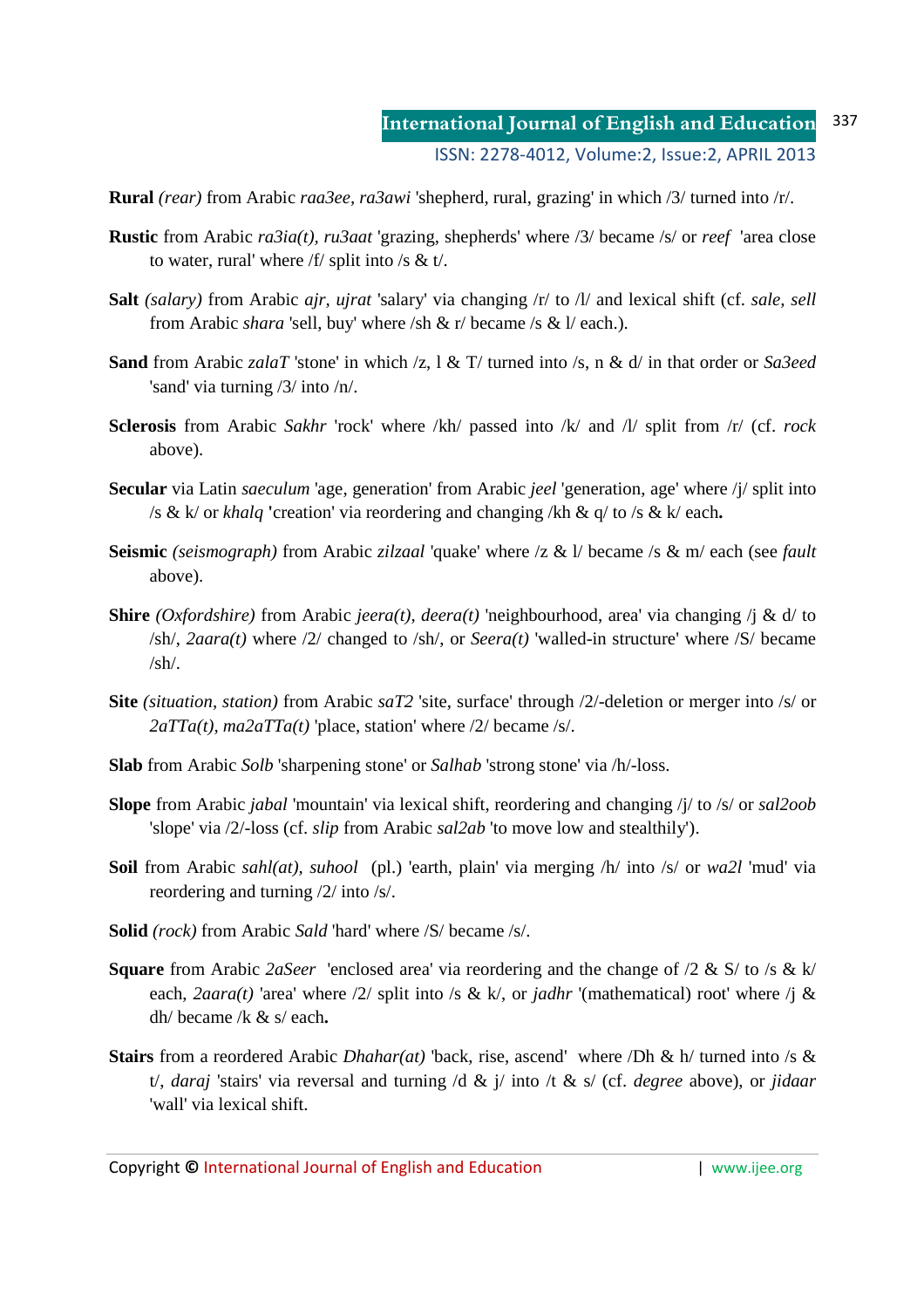**Rural** *(rear)* from Arabic *raa3ee, ra3awi* 'shepherd, rural, grazing' in which /3/ turned into /r/.

- **Rustic** from Arabic *ra3ia(t), ru3aat* 'grazing, shepherds' where /3/ became /s/ or *reef* 'area close to water, rural' where  $/f$  split into /s & t/.
- **Salt** *(salary)* from Arabic *ajr, ujrat* 'salary' via changing /r/ to /l/ and lexical shift (cf. *sale, sell* from Arabic *shara* 'sell, buy' where /sh & r/ became /s & l/ each.).
- **Sand** from Arabic *zalaT* 'stone' in which /z, l & T/ turned into /s, n & d/ in that order or *Sa3eed* 'sand' via turning /3/ into /n/.
- **Sclerosis** from Arabic *Sakhr* 'rock' where /kh/ passed into /k/ and /l/ split from /r/ (cf. *rock* above).
- **Secular** via Latin *saeculum* 'age, generation' from Arabic *jeel* 'generation, age' where /j/ split into /s & k/ or *khalq* **'**creation' via reordering and changing /kh & q/ to /s & k/ each**.**
- **Seismic** *(seismograph)* from Arabic *zilzaal* 'quake' where /z & l/ became /s & m/ each (see *fault* above).
- **Shire** *(Oxfordshire)* from Arabic *jeera(t), deera(t)* 'neighbourhood, area' via changing /j & d/ to /sh/, *2aara(t)* where /2/ changed to /sh/, or *Seera(t)* 'walled-in structure' where /S/ became  $/sh/$ .
- **Site** *(situation, station)* from Arabic *saT2* 'site, surface' through /2/-deletion or merger into /s/ or *2aTTa(t), ma2aTTa(t)* 'place, station' where /2/ became /s/.
- **Slab** from Arabic *Solb* 'sharpening stone' or *Salhab* 'strong stone' via /h/-loss.
- **Slope** from Arabic *jabal* 'mountain' via lexical shift, reordering and changing /j/ to /s/ or *sal2oob* 'slope' via /2/-loss (cf. *slip* from Arabic *sal2ab* 'to move low and stealthily').
- **Soil** from Arabic *sahl(at), suhool* (pl.) 'earth, plain' via merging /h/ into /s/ or *wa2l* 'mud' via reordering and turning /2/ into /s/.
- **Solid** *(rock)* from Arabic *Sald* 'hard' where /S/ became /s/.
- **Square** from Arabic *2aSeer* 'enclosed area' via reordering and the change of /2 & S/ to /s & k/ each, *2aara(t)* 'area' where /2/ split into /s & k/, or *jadhr* '(mathematical) root' where /j & dh/ became /k & s/ each**.**
- **Stairs** from a reordered Arabic *Dhahar(at)* 'back, rise, ascend' where /Dh & h/ turned into /s & t/, *daraj* 'stairs' via reversal and turning /d & j/ into /t & s/ (cf. *degree* above), or *jidaar* 'wall' via lexical shift.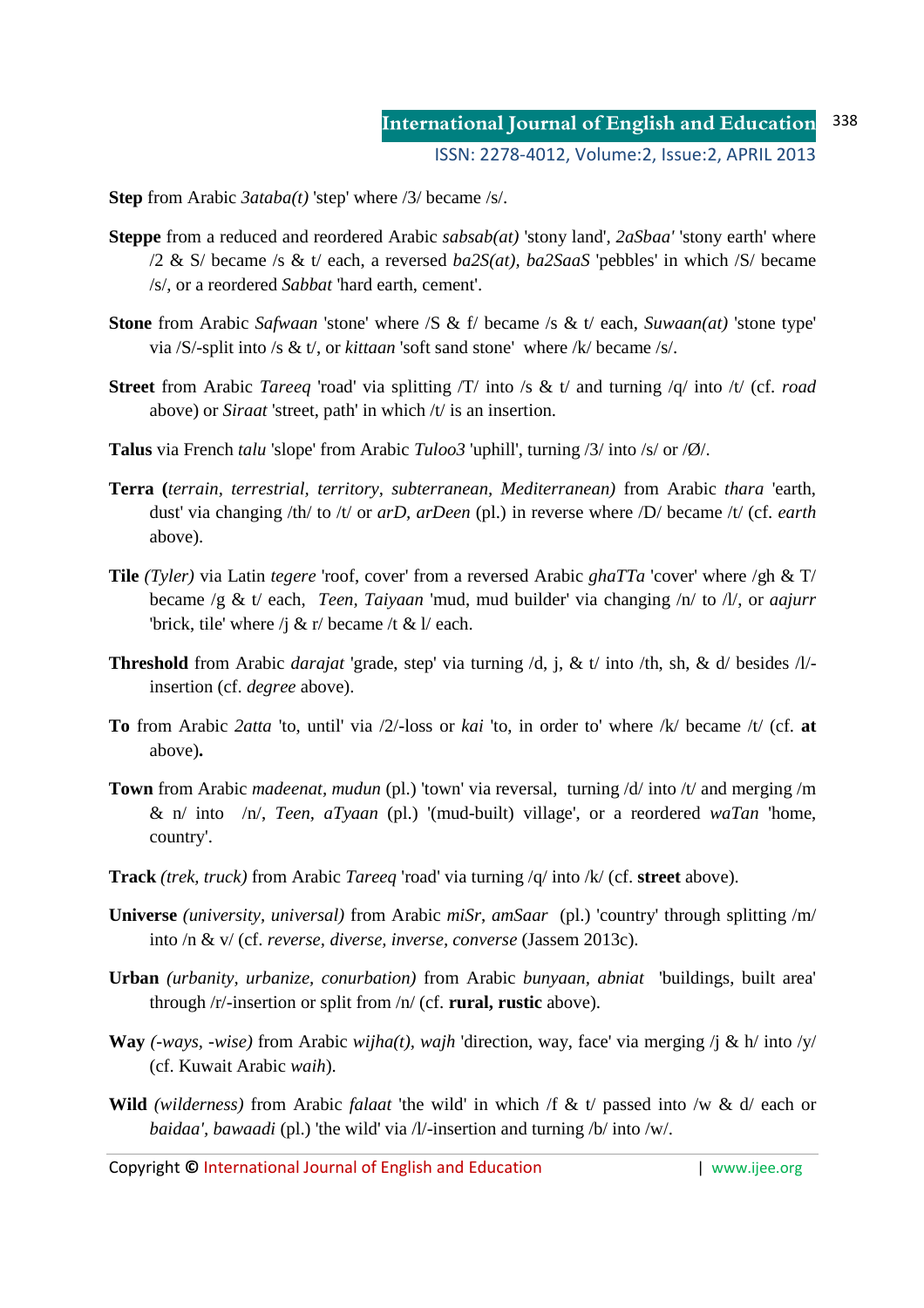**Step** from Arabic *3ataba(t)* 'step' where /3/ became /s/.

- **Steppe** from a reduced and reordered Arabic *sabsab(at)* 'stony land', *2aSbaa'* 'stony earth' where /2 & S/ became /s & t/ each, a reversed *ba2S(at), ba2SaaS* 'pebbles' in which /S/ became /s/, or a reordered *Sabbat* 'hard earth, cement'.
- **Stone** from Arabic *Safwaan* 'stone' where /S & f/ became /s & t/ each, *Suwaan(at)* 'stone type' via /S/-split into /s & t/, or *kittaan* 'soft sand stone' where /k/ became /s/.
- **Street** from Arabic *Tareeq* 'road' via splitting /T/ into /s & t/ and turning /q/ into /t/ (cf. *road*  above) or *Siraat* 'street, path' in which /t/ is an insertion.
- **Talus** via French *talu* 'slope' from Arabic *Tuloo3* 'uphill', turning /3/ into /s/ or /Ø/.
- **Terra (***terrain, terrestrial, territory, subterranean, Mediterranean)* from Arabic *thara* 'earth, dust' via changing /th/ to /t/ or *arD, arDeen* (pl.) in reverse where /D/ became /t/ (cf. *earth* above).
- **Tile** *(Tyler)* via Latin *tegere* 'roof, cover' from a reversed Arabic *ghaTTa* 'cover' where /gh & T/ became /g & t/ each, *Teen, Taiyaan* 'mud, mud builder' via changing /n/ to /l/, or *aajurr*  'brick, tile' where /j & r/ became /t & l/ each.
- **Threshold** from Arabic *darajat* 'grade, step' via turning /d, j, & t/ into /th, sh, & d/ besides /l/ insertion (cf. *degree* above).
- **To** from Arabic *2atta* 'to, until' via /2/-loss or *kai* 'to, in order to' where /k/ became /t/ (cf. **at** above)**.**
- **Town** from Arabic *madeenat, mudun* (pl.) 'town' via reversal, turning /d/ into /t/ and merging /m & n/ into /n/, *Teen, aTyaan* (pl.) '(mud-built) village', or a reordered *waTan* 'home, country'.
- **Track** *(trek, truck)* from Arabic *Tareeq* 'road' via turning /q/ into /k/ (cf. **street** above).
- **Universe** *(university, universal)* from Arabic *miSr*, *amSaar* (pl.) 'country' through splitting /m/ into /n & v/ (cf. *reverse, diverse, inverse, converse* (Jassem 2013c).
- **Urban** *(urbanity, urbanize, conurbation)* from Arabic *bunyaan, abniat* 'buildings, built area' through /r/-insertion or split from /n/ (cf. **rural, rustic** above).
- **Way** *(-ways, -wise)* from Arabic *wijha(t), wajh* 'direction, way, face' via merging /j & h/ into /y/ (cf. Kuwait Arabic *waih*).
- **Wild** *(wilderness)* from Arabic *falaat* 'the wild' in which /f & t/ passed into /w & d/ each or *baidaa', bawaadi* (pl.) 'the wild' via /l/-insertion and turning /b/ into /w/.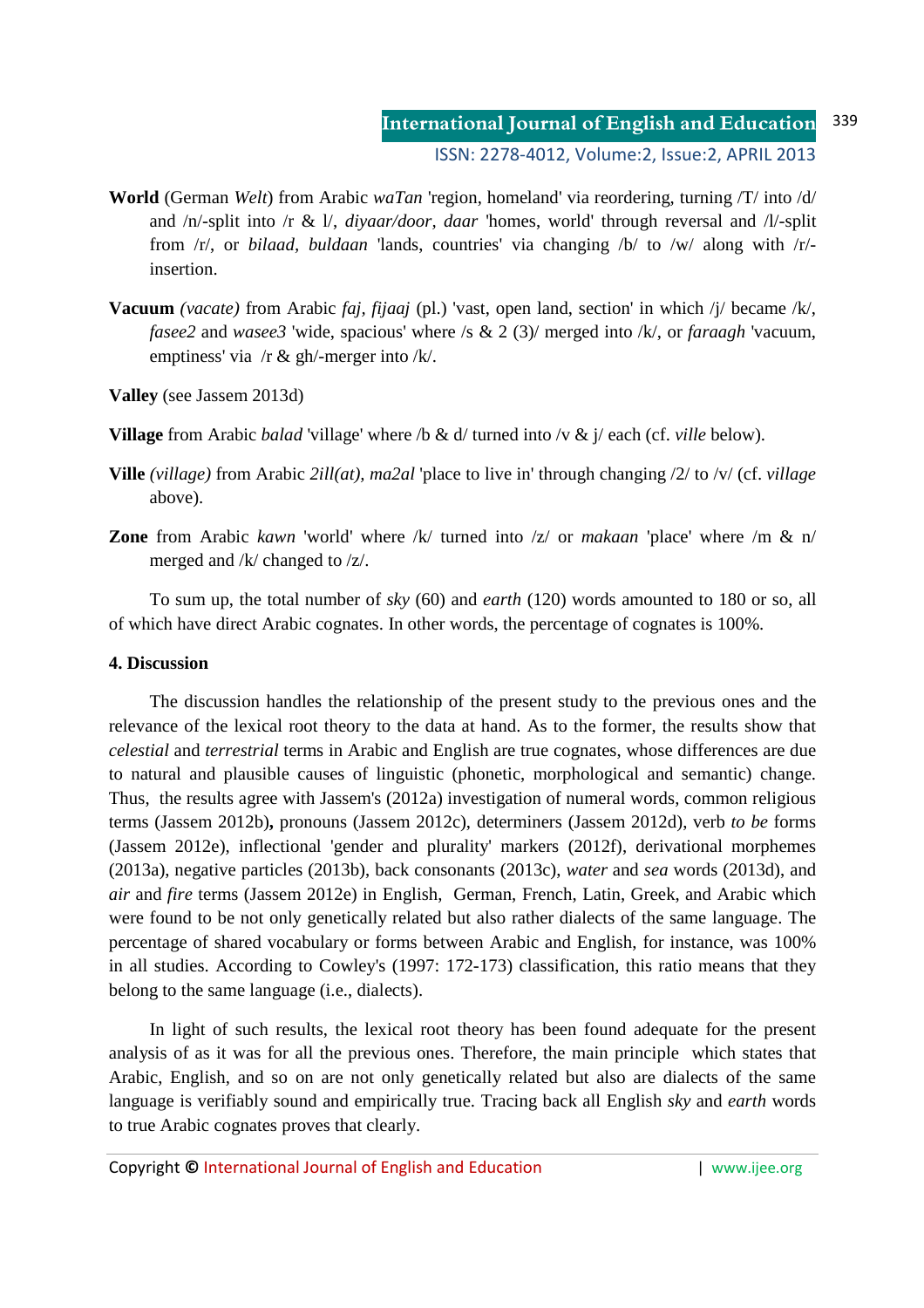- **World** (German *Welt*) from Arabic *waTan* 'region, homeland' via reordering, turning /T/ into /d/ and /n/-split into /r & l/, *diyaar/door, daar* 'homes, world' through reversal and /l/-split from /r/, or *bilaad, buldaan* 'lands, countries' via changing /b/ to /w/ along with /r/ insertion.
- **Vacuum** *(vacate)* from Arabic *faj, fijaaj* (pl.) 'vast, open land, section' in which /j/ became /k/, *fasee2* and *wasee3* 'wide, spacious' where /s & 2 (3)/ merged into /k/, or *faraagh* 'vacuum, emptiness' via /r & gh/-merger into /k/.
- **Valley** (see Jassem 2013d)
- **Village** from Arabic *balad* 'village' where /b & d/ turned into /v & j/ each (cf. *ville* below).
- **Ville** *(village)* from Arabic *2ill(at), ma2al* 'place to live in' through changing /2/ to /v/ (cf. *village*  above).
- **Zone** from Arabic *kawn* 'world' where /k/ turned into /z/ or *makaan* 'place' where /m & n/ merged and /k/ changed to /z/.

To sum up, the total number of *sky* (60) and *earth* (120) words amounted to 180 or so, all of which have direct Arabic cognates. In other words, the percentage of cognates is 100%.

### **4. Discussion**

The discussion handles the relationship of the present study to the previous ones and the relevance of the lexical root theory to the data at hand. As to the former, the results show that *celestial* and *terrestrial* terms in Arabic and English are true cognates, whose differences are due to natural and plausible causes of linguistic (phonetic, morphological and semantic) change. Thus, the results agree with Jassem's (2012a) investigation of numeral words, common religious terms (Jassem 2012b)**,** pronouns (Jassem 2012c), determiners (Jassem 2012d), verb *to be* forms (Jassem 2012e), inflectional 'gender and plurality' markers (2012f), derivational morphemes (2013a), negative particles (2013b), back consonants (2013c), *water* and *sea* words (2013d), and *air* and *fire* terms (Jassem 2012e) in English, German, French, Latin, Greek, and Arabic which were found to be not only genetically related but also rather dialects of the same language. The percentage of shared vocabulary or forms between Arabic and English, for instance, was 100% in all studies. According to Cowley's (1997: 172-173) classification, this ratio means that they belong to the same language (i.e., dialects).

In light of such results, the lexical root theory has been found adequate for the present analysis of as it was for all the previous ones. Therefore, the main principle which states that Arabic, English, and so on are not only genetically related but also are dialects of the same language is verifiably sound and empirically true. Tracing back all English *sky* and *earth* words to true Arabic cognates proves that clearly.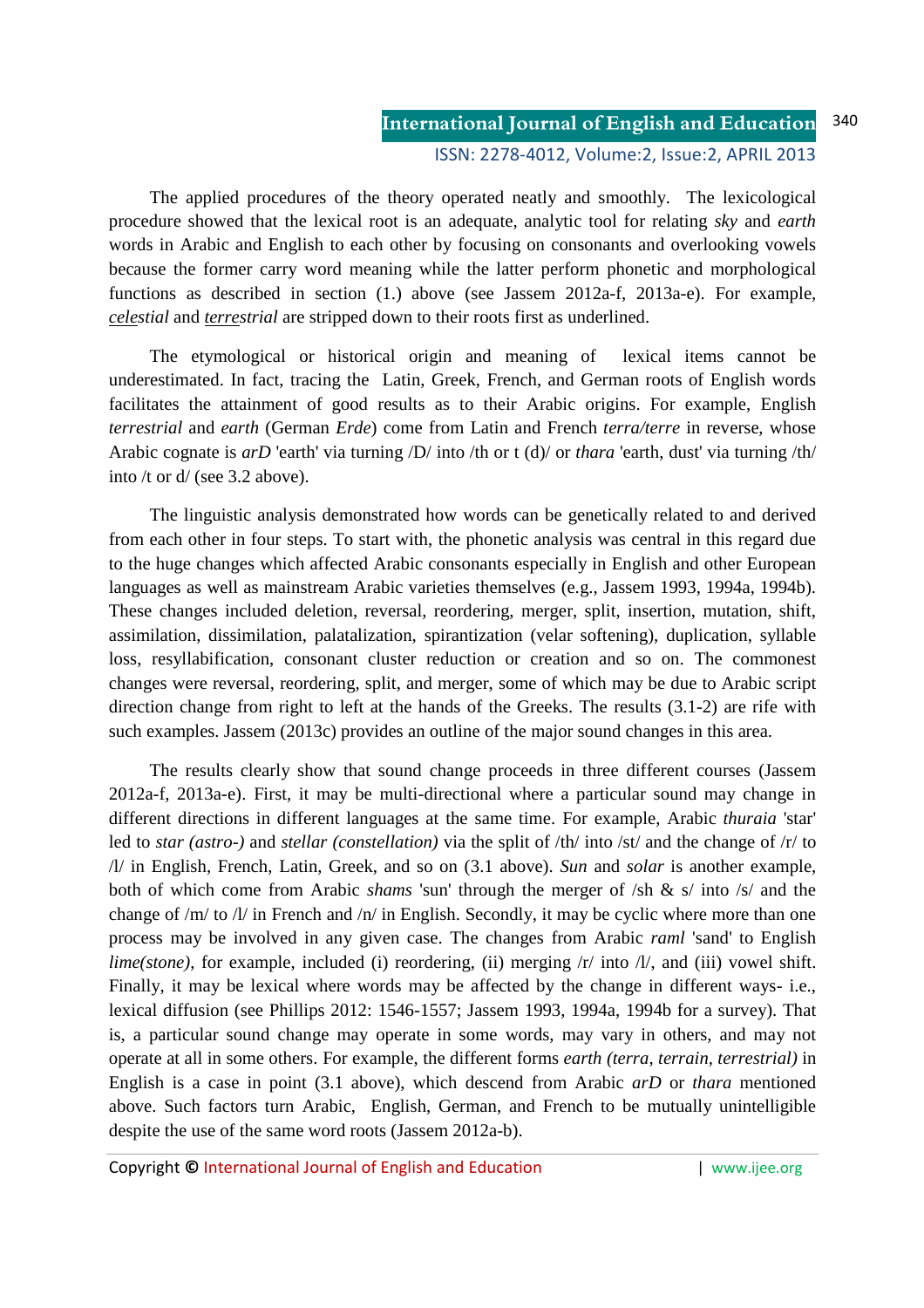The applied procedures of the theory operated neatly and smoothly. The lexicological procedure showed that the lexical root is an adequate, analytic tool for relating *sky* and *earth* words in Arabic and English to each other by focusing on consonants and overlooking vowels because the former carry word meaning while the latter perform phonetic and morphological functions as described in section (1.) above (see Jassem 2012a-f, 2013a-e). For example, *celestial* and *terrestrial* are stripped down to their roots first as underlined.

The etymological or historical origin and meaning of lexical items cannot be underestimated. In fact, tracing the Latin, Greek, French, and German roots of English words facilitates the attainment of good results as to their Arabic origins. For example, English *terrestrial* and *earth* (German *Erde*) come from Latin and French *terra/terre* in reverse, whose Arabic cognate is *arD* 'earth' via turning /D/ into /th or t (d)/ or *thara* 'earth, dust' via turning /th/ into /t or d/ (see 3.2 above).

The linguistic analysis demonstrated how words can be genetically related to and derived from each other in four steps. To start with, the phonetic analysis was central in this regard due to the huge changes which affected Arabic consonants especially in English and other European languages as well as mainstream Arabic varieties themselves (e.g., Jassem 1993, 1994a, 1994b). These changes included deletion, reversal, reordering, merger, split, insertion, mutation, shift, assimilation, dissimilation, palatalization, spirantization (velar softening), duplication, syllable loss, resyllabification, consonant cluster reduction or creation and so on. The commonest changes were reversal, reordering, split, and merger, some of which may be due to Arabic script direction change from right to left at the hands of the Greeks. The results (3.1-2) are rife with such examples. Jassem (2013c) provides an outline of the major sound changes in this area.

The results clearly show that sound change proceeds in three different courses (Jassem 2012a-f, 2013a-e). First, it may be multi-directional where a particular sound may change in different directions in different languages at the same time. For example, Arabic *thuraia* 'star' led to *star (astro-)* and *stellar (constellation)* via the split of /th/ into /st/ and the change of /r/ to /l/ in English, French, Latin, Greek, and so on (3.1 above). *Sun* and *solar* is another example, both of which come from Arabic *shams* 'sun' through the merger of /sh & s/ into /s/ and the change of /m/ to /l/ in French and /n/ in English. Secondly, it may be cyclic where more than one process may be involved in any given case. The changes from Arabic *raml* 'sand' to English *lime(stone)*, for example, included (i) reordering, (ii) merging  $\pi$  into  $\pi$ , and (iii) vowel shift. Finally, it may be lexical where words may be affected by the change in different ways- i.e., lexical diffusion (see Phillips 2012: 1546-1557; Jassem 1993, 1994a, 1994b for a survey). That is, a particular sound change may operate in some words, may vary in others, and may not operate at all in some others. For example, the different forms *earth (terra, terrain, terrestrial)* in English is a case in point (3.1 above), which descend from Arabic *arD* or *thara* mentioned above. Such factors turn Arabic, English, German, and French to be mutually unintelligible despite the use of the same word roots (Jassem 2012a-b).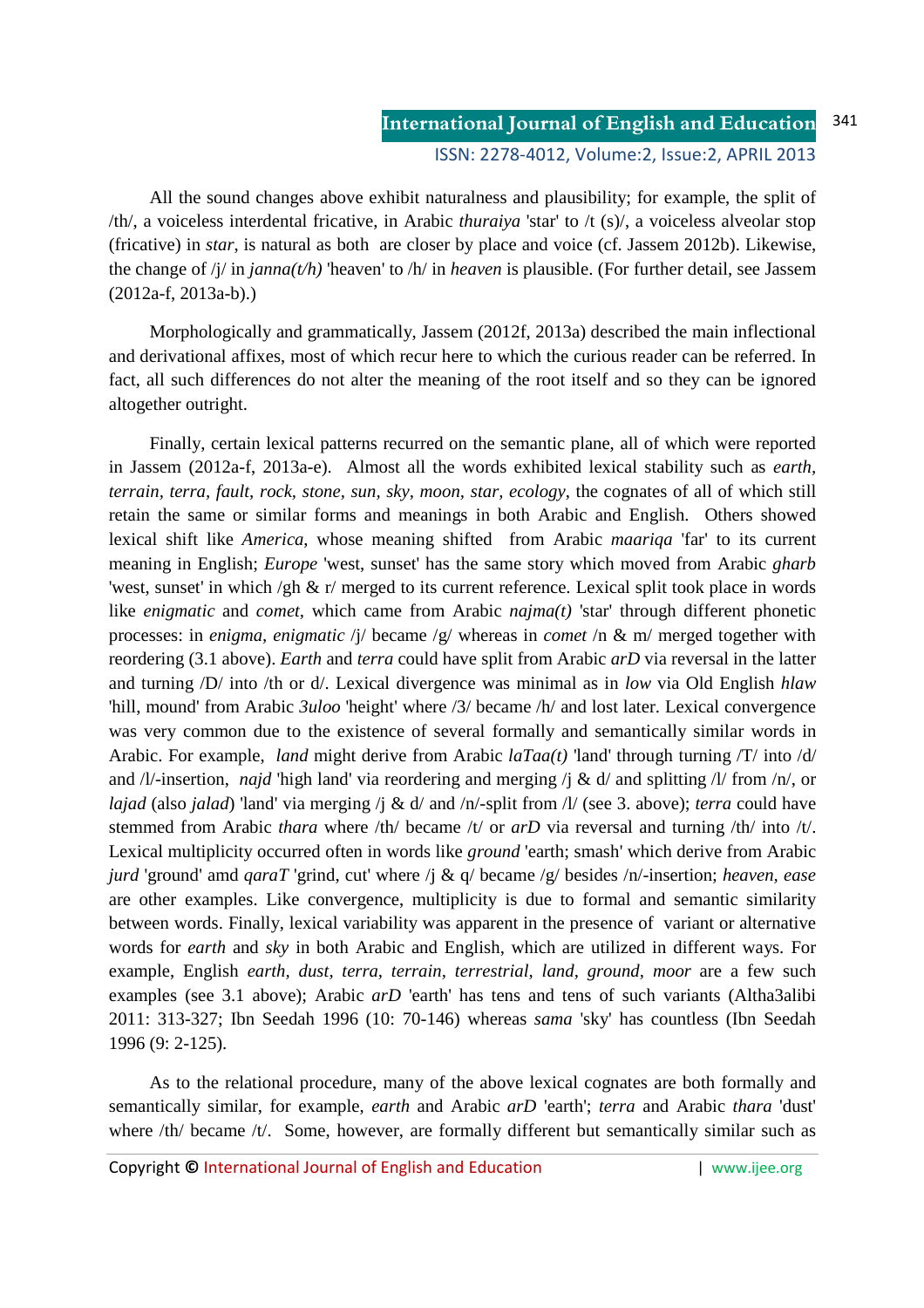All the sound changes above exhibit naturalness and plausibility; for example, the split of /th/, a voiceless interdental fricative, in Arabic *thuraiya* 'star' to /t (s)/, a voiceless alveolar stop (fricative) in *star*, is natural as both are closer by place and voice (cf. Jassem 2012b). Likewise, the change of /j/ in *janna(t/h)* 'heaven' to /h/ in *heaven* is plausible. (For further detail, see Jassem (2012a-f, 2013a-b).)

Morphologically and grammatically, Jassem (2012f, 2013a) described the main inflectional and derivational affixes, most of which recur here to which the curious reader can be referred. In fact, all such differences do not alter the meaning of the root itself and so they can be ignored altogether outright.

Finally, certain lexical patterns recurred on the semantic plane, all of which were reported in Jassem (2012a-f, 2013a-e). Almost all the words exhibited lexical stability such as *earth, terrain, terra, fault, rock, stone, sun, sky, moon, star, ecology*, the cognates of all of which still retain the same or similar forms and meanings in both Arabic and English. Others showed lexical shift like *America*, whose meaning shifted from Arabic *maariqa* 'far' to its current meaning in English; *Europe* 'west, sunset' has the same story which moved from Arabic *gharb* 'west, sunset' in which /gh & r/ merged to its current reference. Lexical split took place in words like *enigmatic* and *comet,* which came from Arabic *najma(t)* 'star' through different phonetic processes: in *enigma, enigmatic* /j/ became /g/ whereas in *comet* /n & m/ merged together with reordering (3.1 above). *Earth* and *terra* could have split from Arabic *arD* via reversal in the latter and turning /D/ into /th or d/. Lexical divergence was minimal as in *low* via Old English *hlaw* 'hill, mound' from Arabic *3uloo* 'height' where /3/ became /h/ and lost later. Lexical convergence was very common due to the existence of several formally and semantically similar words in Arabic. For example, *land* might derive from Arabic *laTaa(t)* 'land' through turning /T/ into /d/ and /l/-insertion, *najd* 'high land' via reordering and merging /j & d/ and splitting /l/ from /n/, or *lajad* (also *jalad*) 'land' via merging /j & d/ and /n/-split from /l/ (see 3. above); *terra* could have stemmed from Arabic *thara* where /th/ became /t/ or *arD* via reversal and turning /th/ into /t/. Lexical multiplicity occurred often in words like *ground* 'earth; smash' which derive from Arabic *jurd* 'ground' amd *qaraT* 'grind, cut' where /j & q/ became /g/ besides /n/-insertion; *heaven, ease* are other examples. Like convergence, multiplicity is due to formal and semantic similarity between words. Finally, lexical variability was apparent in the presence of variant or alternative words for *earth* and *sky* in both Arabic and English, which are utilized in different ways. For example, English *earth, dust, terra, terrain, terrestrial, land, ground, moor* are a few such examples (see 3.1 above); Arabic *arD* 'earth' has tens and tens of such variants (Altha3alibi 2011: 313-327; Ibn Seedah 1996 (10: 70-146) whereas *sama* 'sky' has countless (Ibn Seedah 1996 (9: 2-125).

As to the relational procedure, many of the above lexical cognates are both formally and semantically similar, for example, *earth* and Arabic *arD* 'earth'; *terra* and Arabic *thara* 'dust' where /th/ became /t/. Some, however, are formally different but semantically similar such as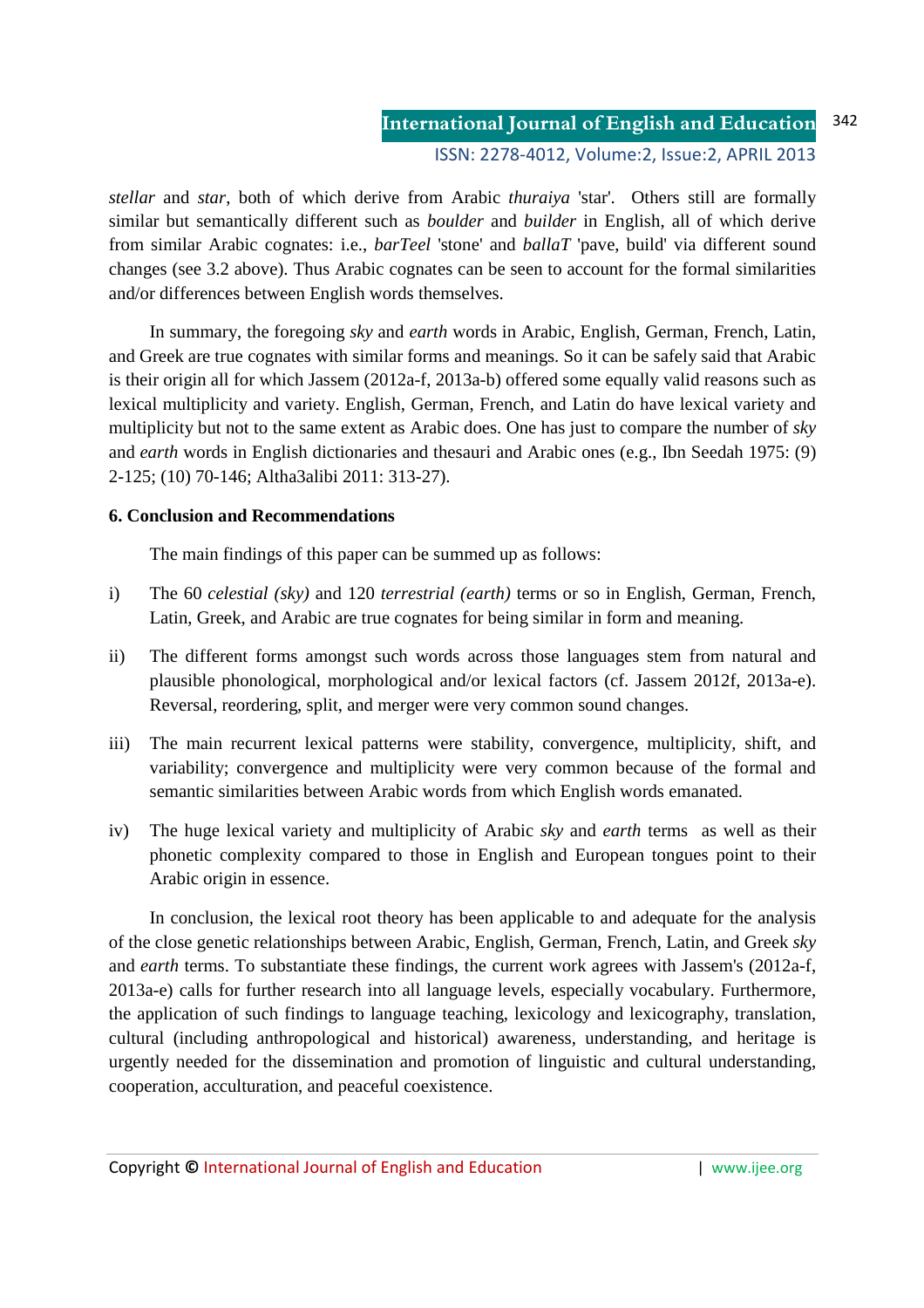*stellar* and *star*, both of which derive from Arabic *thuraiya* 'star'. Others still are formally similar but semantically different such as *boulder* and *builder* in English, all of which derive from similar Arabic cognates: i.e., *barTeel* 'stone' and *ballaT* 'pave, build' via different sound changes (see 3.2 above). Thus Arabic cognates can be seen to account for the formal similarities and/or differences between English words themselves.

In summary, the foregoing *sky* and *earth* words in Arabic, English, German, French, Latin, and Greek are true cognates with similar forms and meanings. So it can be safely said that Arabic is their origin all for which Jassem (2012a-f, 2013a-b) offered some equally valid reasons such as lexical multiplicity and variety. English, German, French, and Latin do have lexical variety and multiplicity but not to the same extent as Arabic does. One has just to compare the number of *sky*  and *earth* words in English dictionaries and thesauri and Arabic ones (e.g., Ibn Seedah 1975: (9) 2-125; (10) 70-146; Altha3alibi 2011: 313-27).

# **6. Conclusion and Recommendations**

The main findings of this paper can be summed up as follows:

- i) The 60 *celestial (sky)* and 120 *terrestrial (earth)* terms or so in English, German, French, Latin, Greek, and Arabic are true cognates for being similar in form and meaning.
- ii) The different forms amongst such words across those languages stem from natural and plausible phonological, morphological and/or lexical factors (cf. Jassem 2012f, 2013a-e). Reversal, reordering, split, and merger were very common sound changes.
- iii) The main recurrent lexical patterns were stability, convergence, multiplicity, shift, and variability; convergence and multiplicity were very common because of the formal and semantic similarities between Arabic words from which English words emanated.
- iv) The huge lexical variety and multiplicity of Arabic *sky* and *earth* terms as well as their phonetic complexity compared to those in English and European tongues point to their Arabic origin in essence.

In conclusion, the lexical root theory has been applicable to and adequate for the analysis of the close genetic relationships between Arabic, English, German, French, Latin, and Greek *sky*  and *earth* terms. To substantiate these findings, the current work agrees with Jassem's (2012a-f, 2013a-e) calls for further research into all language levels, especially vocabulary. Furthermore, the application of such findings to language teaching, lexicology and lexicography, translation, cultural (including anthropological and historical) awareness, understanding, and heritage is urgently needed for the dissemination and promotion of linguistic and cultural understanding, cooperation, acculturation, and peaceful coexistence.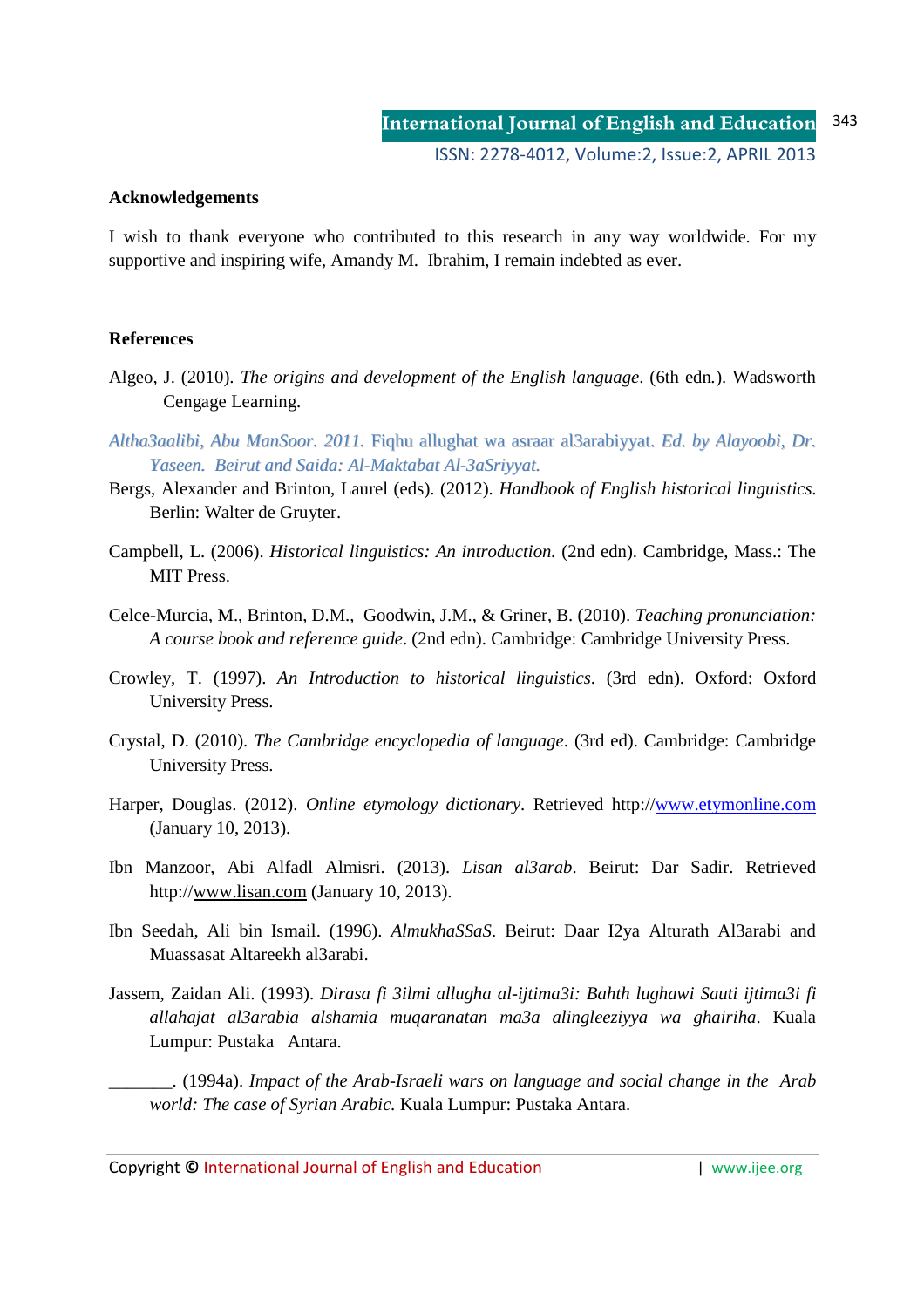### **Acknowledgements**

I wish to thank everyone who contributed to this research in any way worldwide. For my supportive and inspiring wife, Amandy M. Ibrahim, I remain indebted as ever.

### **References**

- Algeo, J. (2010). *The origins and development of the English language*. (6th edn*.*). Wadsworth Cengage Learning.
- *Altha3aalibi, Abu ManSoor. 2011.* Fiqhu allughat wa asraar al3arabiyyat. *Ed. by Alayoobi, Dr. Yaseen. Beirut and Saida: Al-Maktabat Al-3aSriyyat.*
- Bergs, Alexander and Brinton, Laurel (eds). (2012). *Handbook of English historical linguistics*. Berlin: Walter de Gruyter.
- Campbell, L. (2006). *Historical linguistics: An introduction.* (2nd edn). Cambridge, Mass.: The MIT Press.
- Celce-Murcia, M., Brinton, D.M., Goodwin, J.M., & Griner, B. (2010). *Teaching pronunciation: A course book and reference guide*. (2nd edn). Cambridge: Cambridge University Press.
- Crowley, T. (1997). *An Introduction to historical linguistics*. (3rd edn). Oxford: Oxford University Press.
- Crystal, D. (2010). *The Cambridge encyclopedia of language*. (3rd ed). Cambridge: Cambridge University Press.
- Harper, Douglas. (2012). *Online etymology dictionary*. Retrieved http://www.etymonline.com (January 10, 2013).
- Ibn Manzoor, Abi Alfadl Almisri. (2013). *Lisan al3arab*. Beirut: Dar Sadir. Retrieved http://www.lisan.com (January 10, 2013).
- Ibn Seedah, Ali bin Ismail. (1996). *AlmukhaSSaS*. Beirut: Daar I2ya Alturath Al3arabi and Muassasat Altareekh al3arabi.
- Jassem, Zaidan Ali. (1993). *Dirasa fi 3ilmi allugha al-ijtima3i: Bahth lughawi Sauti ijtima3i fi allahajat al3arabia alshamia muqaranatan ma3a alingleeziyya wa ghairiha*. Kuala Lumpur: Pustaka Antara.
	- \_\_\_\_\_\_\_. (1994a). *Impact of the Arab-Israeli wars on language and social change in the Arab world: The case of Syrian Arabic.* Kuala Lumpur: Pustaka Antara.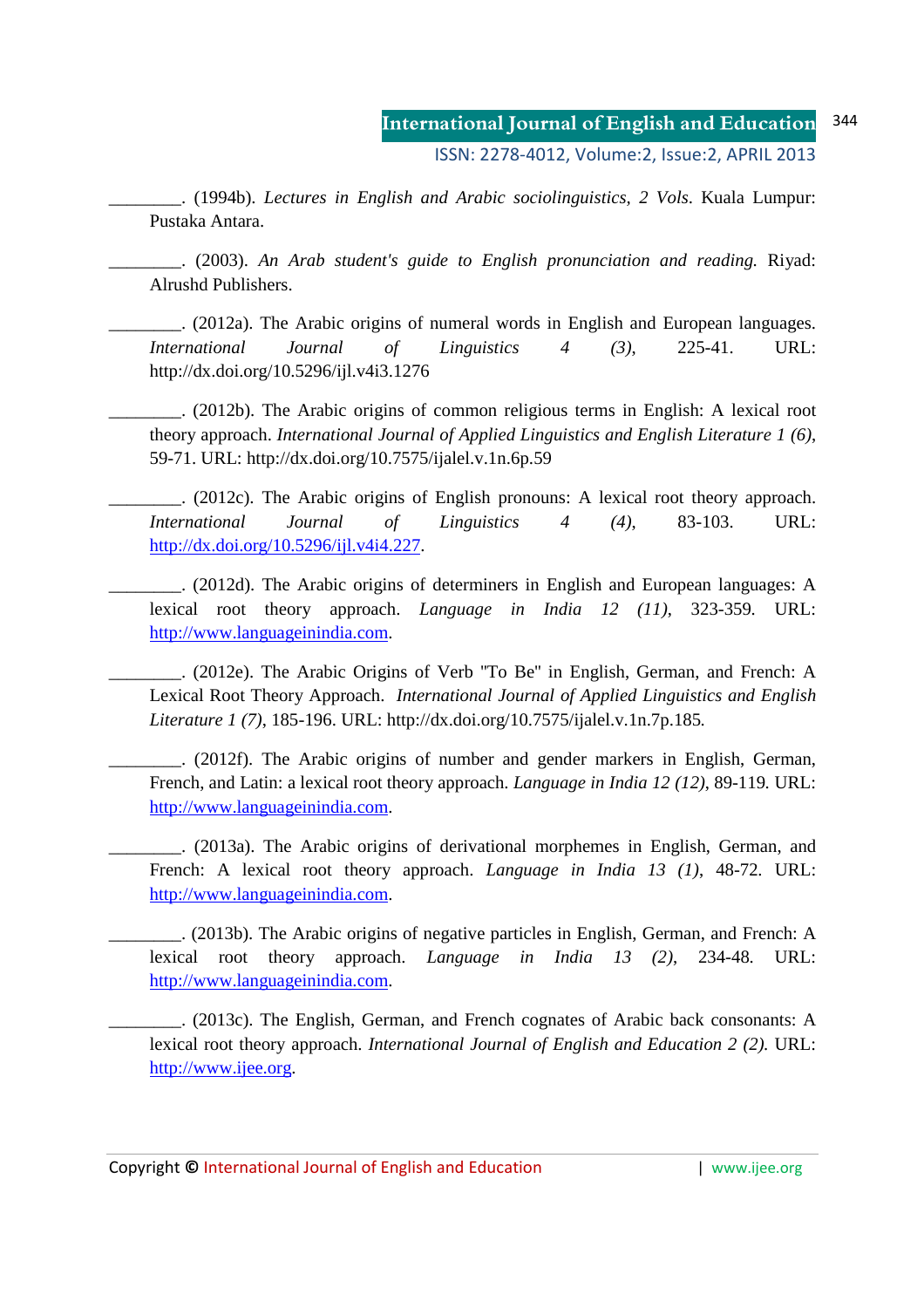\_\_\_\_\_\_\_\_. (1994b). *Lectures in English and Arabic sociolinguistics, 2 Vols*. Kuala Lumpur: Pustaka Antara.

\_\_\_\_\_\_\_\_. (2003). *An Arab student's guide to English pronunciation and reading.* Riyad: Alrushd Publishers.

\_\_\_\_\_\_\_\_. (2012a). The Arabic origins of numeral words in English and European languages. *International Journal of Linguistics 4 (3)*, 225-41. URL: http://dx.doi.org/10.5296/ijl.v4i3.1276

\_\_\_\_\_\_\_\_. (2012b). The Arabic origins of common religious terms in English: A lexical root theory approach. *International Journal of Applied Linguistics and English Literature 1 (6)*, 59-71. URL: http://dx.doi.org/10.7575/ijalel.v.1n.6p.59

\_\_\_\_\_\_\_\_. (2012c). The Arabic origins of English pronouns: A lexical root theory approach. *International Journal of Linguistics 4 (4)*, 83-103. URL: http://dx.doi.org/10.5296/ijl.v4i4.227.

\_\_\_\_\_\_\_\_. (2012d). The Arabic origins of determiners in English and European languages: A lexical root theory approach. *Language in India 12 (11)*, 323-359*.* URL: http://www.languageinindia.com.

\_\_\_\_\_\_\_\_. (2012e). The Arabic Origins of Verb ''To Be'' in English, German, and French: A Lexical Root Theory Approach. *International Journal of Applied Linguistics and English Literature 1 (7)*, 185-196. URL: http://dx.doi.org/10.7575/ijalel.v.1n.7p.185*.* 

\_\_\_\_\_\_\_\_. (2012f). The Arabic origins of number and gender markers in English, German, French, and Latin: a lexical root theory approach. *Language in India 12 (12)*, 89-119*.* URL: http://www.languageinindia.com.

\_\_\_\_\_\_\_\_. (2013a). The Arabic origins of derivational morphemes in English, German, and French: A lexical root theory approach. *Language in India 13 (1)*, 48-72*.* URL: http://www.languageinindia.com.

\_\_\_\_\_\_\_\_. (2013b). The Arabic origins of negative particles in English, German, and French: A lexical root theory approach. *Language in India 13 (2)*, 234-48*.* URL: http://www.languageinindia.com.

\_\_\_\_\_\_\_\_. (2013c). The English, German, and French cognates of Arabic back consonants: A lexical root theory approach. *International Journal of English and Education 2 (2).* URL: http://www.ijee.org.